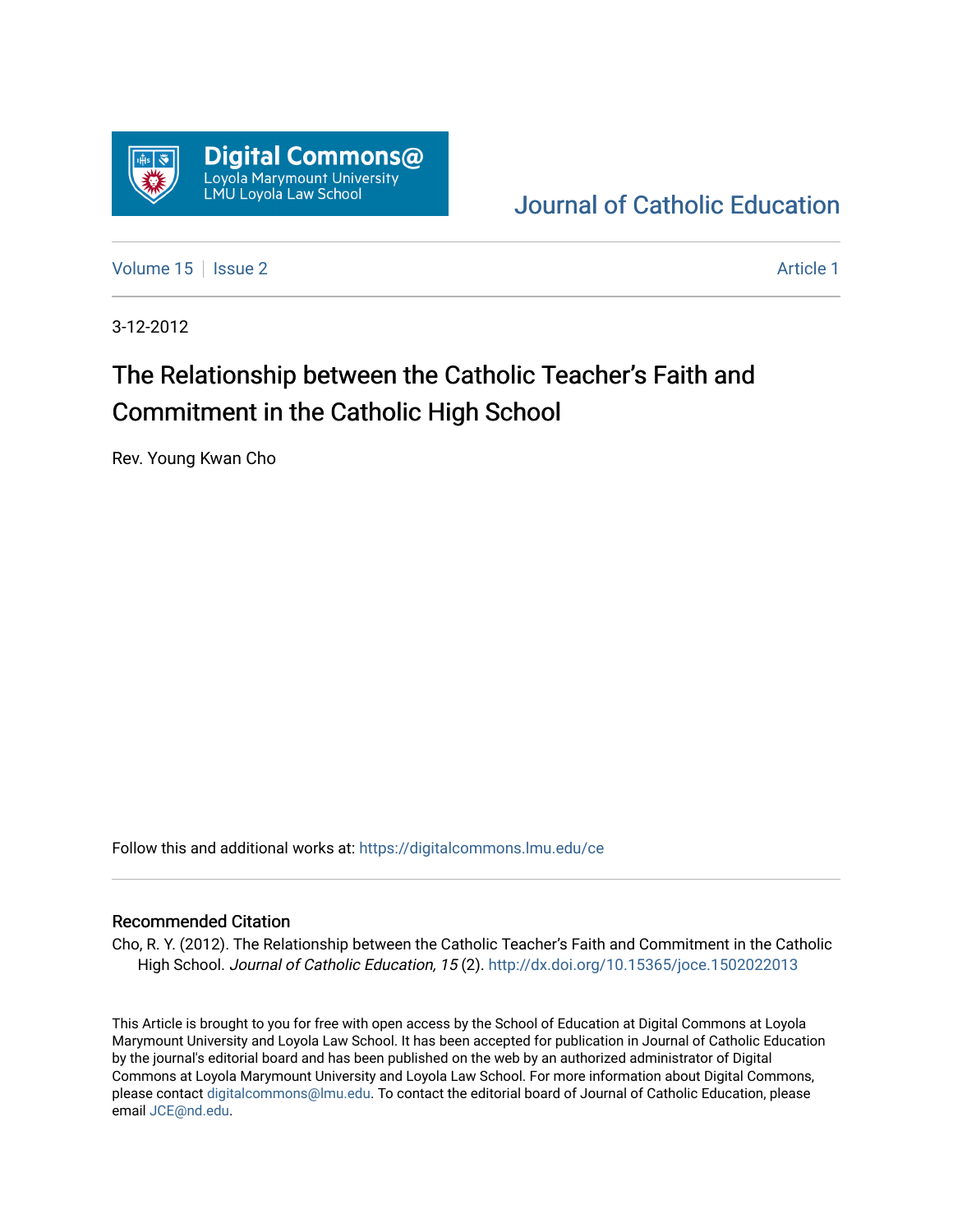

# [Journal of Catholic Education](https://digitalcommons.lmu.edu/ce)

[Volume 15](https://digitalcommons.lmu.edu/ce/vol15) | [Issue 2](https://digitalcommons.lmu.edu/ce/vol15/iss2) Article 1

3-12-2012

# The Relationship between the Catholic Teacher's Faith and Commitment in the Catholic High School

Rev. Young Kwan Cho

Follow this and additional works at: [https://digitalcommons.lmu.edu/ce](https://digitalcommons.lmu.edu/ce?utm_source=digitalcommons.lmu.edu%2Fce%2Fvol15%2Fiss2%2F1&utm_medium=PDF&utm_campaign=PDFCoverPages)

# Recommended Citation

Cho, R. Y. (2012). The Relationship between the Catholic Teacher's Faith and Commitment in the Catholic High School. Journal of Catholic Education, 15 (2). http://dx.doi.org/10.15365/joce.1502022013

This Article is brought to you for free with open access by the School of Education at Digital Commons at Loyola Marymount University and Loyola Law School. It has been accepted for publication in Journal of Catholic Education by the journal's editorial board and has been published on the web by an authorized administrator of Digital Commons at Loyola Marymount University and Loyola Law School. For more information about Digital Commons, please contact [digitalcommons@lmu.edu](mailto:digitalcommons@lmu.edu). To contact the editorial board of Journal of Catholic Education, please email [JCE@nd.edu](mailto:JCE@nd.edu).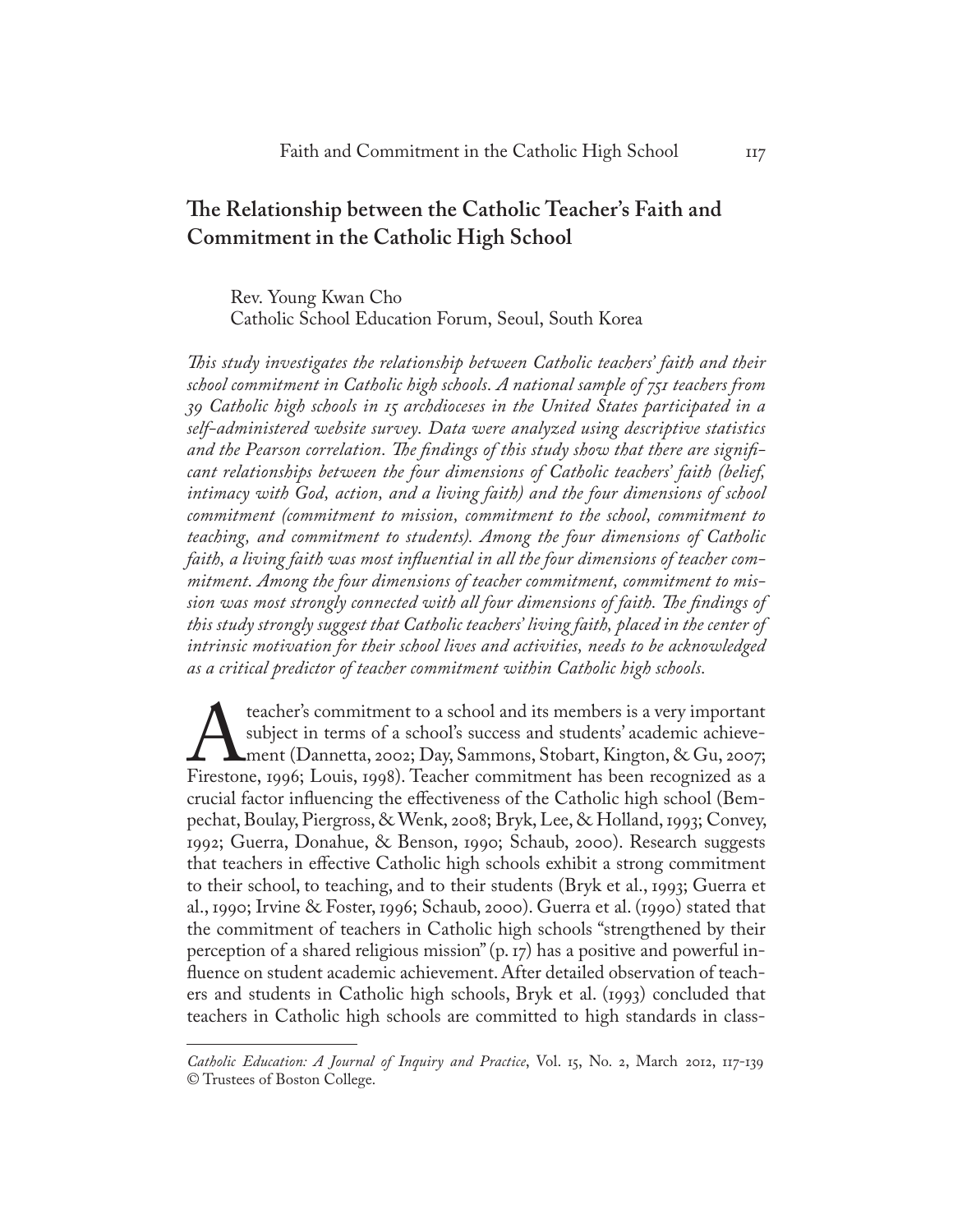# **The Relationship between the Catholic Teacher's Faith and Commitment in the Catholic High School**

Rev. Young Kwan Cho Catholic School Education Forum, Seoul, South Korea

*This study investigates the relationship between Catholic teachers' faith and their school commitment in Catholic high schools. A national sample of 751 teachers from 39 Catholic high schools in 15 archdioceses in the United States participated in a self-administered website survey. Data were analyzed using descriptive statistics and the Pearson correlation. The findings of this study show that there are significant relationships between the four dimensions of Catholic teachers' faith (belief, intimacy with God, action, and a living faith) and the four dimensions of school commitment (commitment to mission, commitment to the school, commitment to teaching, and commitment to students). Among the four dimensions of Catholic faith, a living faith was most influential in all the four dimensions of teacher commitment. Among the four dimensions of teacher commitment, commitment to mission was most strongly connected with all four dimensions of faith. The findings of this study strongly suggest that Catholic teachers' living faith, placed in the center of intrinsic motivation for their school lives and activities, needs to be acknowledged as a critical predictor of teacher commitment within Catholic high schools.*

teacher's commitment to a school and its members is a very important subject in terms of a school's success and students' academic achievement (Dannetta, 2002; Day, Sammons, Stobart, Kington, & Gu, 2007; Firestone, 1996; L subject in terms of a school's success and students' academic achievement (Dannetta, 2002; Day, Sammons, Stobart, Kington, & Gu, 2007; crucial factor influencing the effectiveness of the Catholic high school (Bempechat, Boulay, Piergross, & Wenk, 2008; Bryk, Lee, & Holland, 1993; Convey, 1992; Guerra, Donahue, & Benson, 1990; Schaub, 2000). Research suggests that teachers in effective Catholic high schools exhibit a strong commitment to their school, to teaching, and to their students (Bryk et al., 1993; Guerra et al., 1990; Irvine & Foster, 1996; Schaub, 2000). Guerra et al. (1990) stated that the commitment of teachers in Catholic high schools "strengthened by their perception of a shared religious mission" (p. 17) has a positive and powerful influence on student academic achievement. After detailed observation of teachers and students in Catholic high schools, Bryk et al. (1993) concluded that teachers in Catholic high schools are committed to high standards in class-

*Catholic Education: A Journal of Inquiry and Practice*, Vol. 15, No. 2, March 2012, 117-139 © Trustees of Boston College.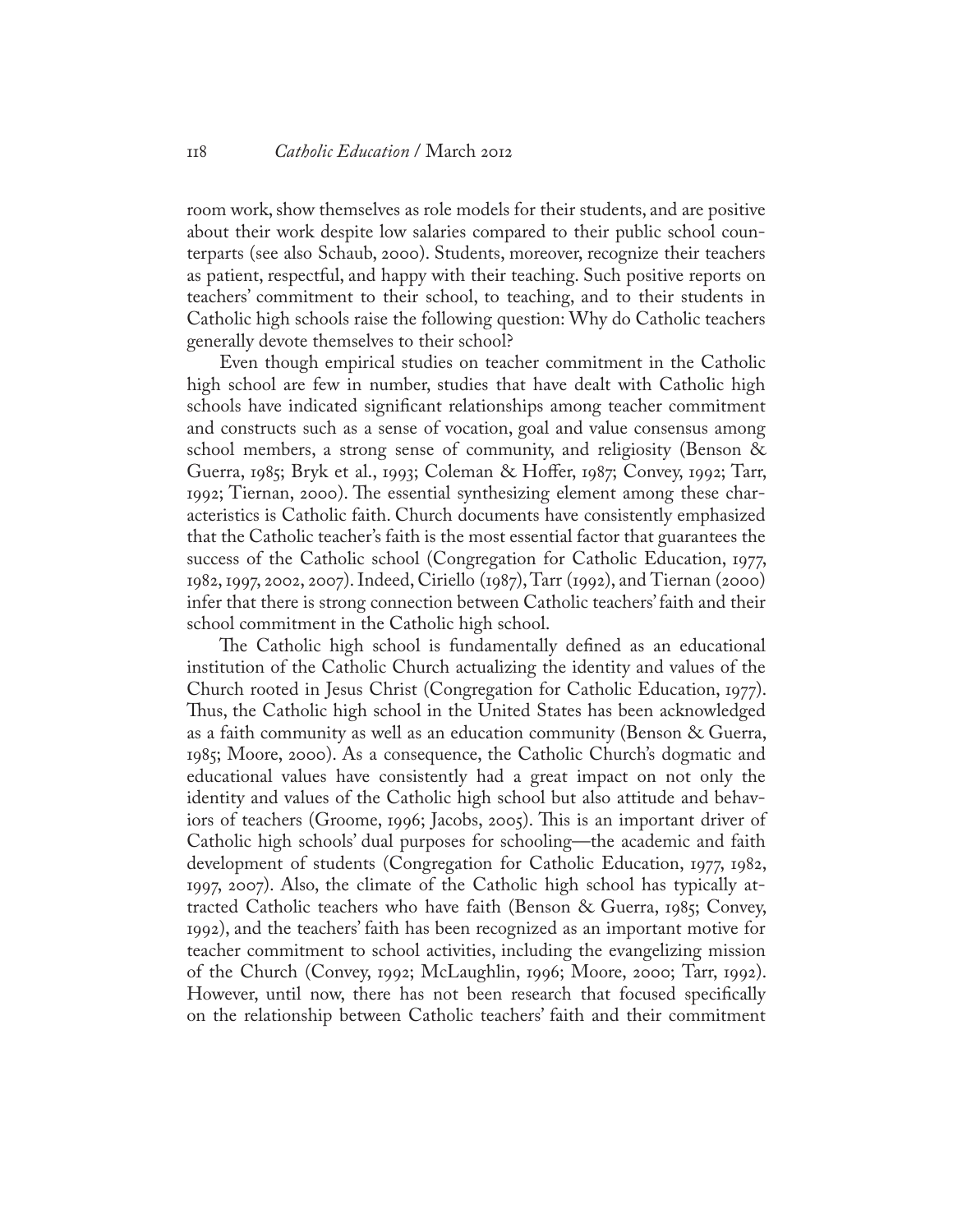room work, show themselves as role models for their students, and are positive about their work despite low salaries compared to their public school counterparts (see also Schaub, 2000). Students, moreover, recognize their teachers as patient, respectful, and happy with their teaching. Such positive reports on teachers' commitment to their school, to teaching, and to their students in Catholic high schools raise the following question: Why do Catholic teachers generally devote themselves to their school?

Even though empirical studies on teacher commitment in the Catholic high school are few in number, studies that have dealt with Catholic high schools have indicated significant relationships among teacher commitment and constructs such as a sense of vocation, goal and value consensus among school members, a strong sense of community, and religiosity (Benson & Guerra, 1985; Bryk et al., 1993; Coleman & Hoffer, 1987; Convey, 1992; Tarr, 1992; Tiernan, 2000). The essential synthesizing element among these characteristics is Catholic faith. Church documents have consistently emphasized that the Catholic teacher's faith is the most essential factor that guarantees the success of the Catholic school (Congregation for Catholic Education, 1977, 1982, 1997, 2002, 2007). Indeed, Ciriello (1987), Tarr (1992), and Tiernan (2000) infer that there is strong connection between Catholic teachers' faith and their school commitment in the Catholic high school.

The Catholic high school is fundamentally defined as an educational institution of the Catholic Church actualizing the identity and values of the Church rooted in Jesus Christ (Congregation for Catholic Education, 1977). Thus, the Catholic high school in the United States has been acknowledged as a faith community as well as an education community (Benson & Guerra, 1985; Moore, 2000). As a consequence, the Catholic Church's dogmatic and educational values have consistently had a great impact on not only the identity and values of the Catholic high school but also attitude and behaviors of teachers (Groome, 1996; Jacobs, 2005). This is an important driver of Catholic high schools' dual purposes for schooling—the academic and faith development of students (Congregation for Catholic Education, 1977, 1982, 1997, 2007). Also, the climate of the Catholic high school has typically attracted Catholic teachers who have faith (Benson & Guerra, 1985; Convey, 1992), and the teachers' faith has been recognized as an important motive for teacher commitment to school activities, including the evangelizing mission of the Church (Convey, 1992; McLaughlin, 1996; Moore, 2000; Tarr, 1992). However, until now, there has not been research that focused specifically on the relationship between Catholic teachers' faith and their commitment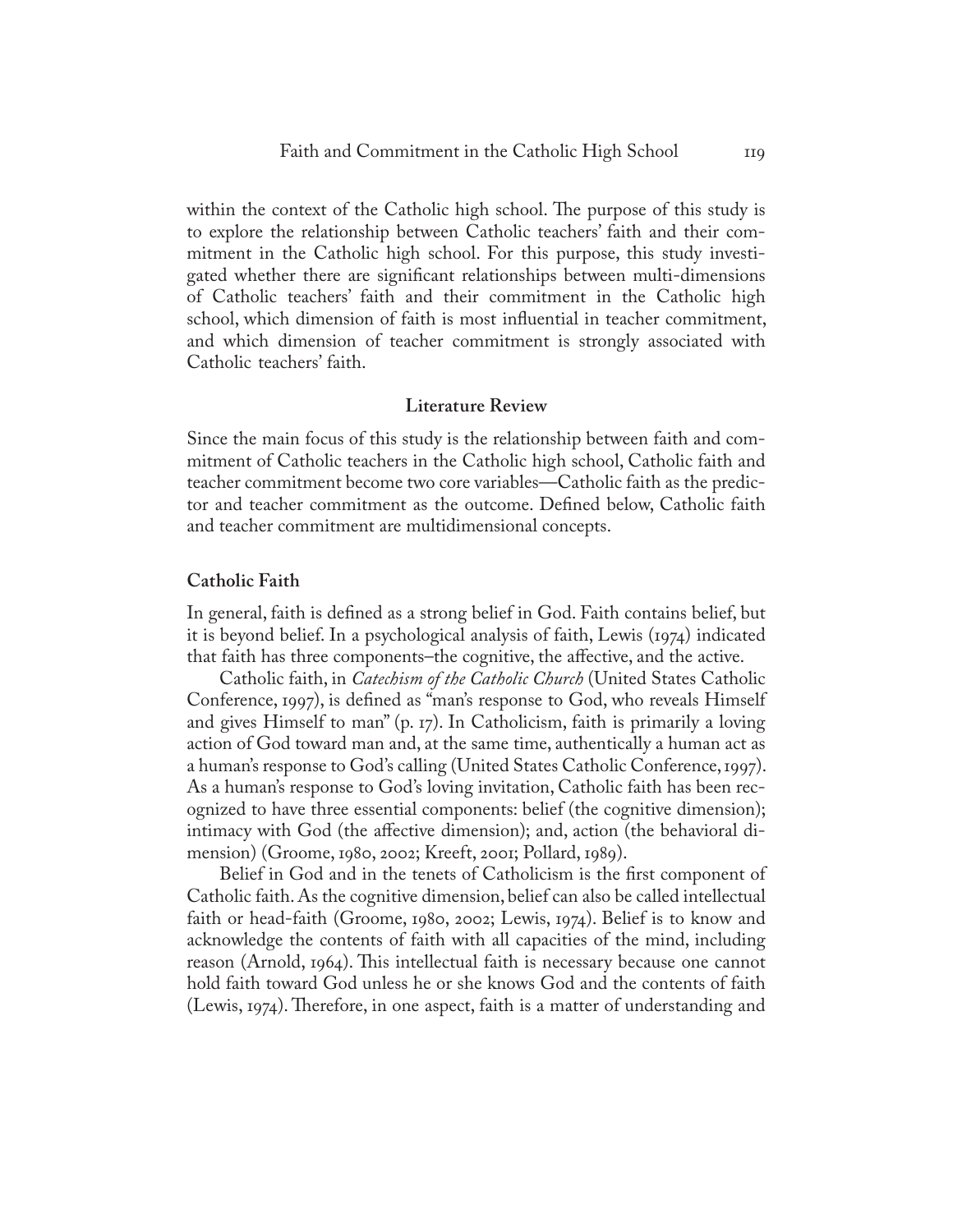within the context of the Catholic high school. The purpose of this study is to explore the relationship between Catholic teachers' faith and their commitment in the Catholic high school. For this purpose, this study investigated whether there are significant relationships between multi-dimensions of Catholic teachers' faith and their commitment in the Catholic high school, which dimension of faith is most influential in teacher commitment, and which dimension of teacher commitment is strongly associated with Catholic teachers' faith.

### **Literature Review**

Since the main focus of this study is the relationship between faith and commitment of Catholic teachers in the Catholic high school, Catholic faith and teacher commitment become two core variables—Catholic faith as the predictor and teacher commitment as the outcome. Defined below, Catholic faith and teacher commitment are multidimensional concepts.

### **Catholic Faith**

In general, faith is defined as a strong belief in God. Faith contains belief, but it is beyond belief. In a psychological analysis of faith, Lewis (1974) indicated that faith has three components–the cognitive, the affective, and the active.

Catholic faith, in *Catechism of the Catholic Church* (United States Catholic Conference, 1997), is defined as "man's response to God, who reveals Himself and gives Himself to man" (p. 17). In Catholicism, faith is primarily a loving action of God toward man and, at the same time, authentically a human act as a human's response to God's calling (United States Catholic Conference, 1997). As a human's response to God's loving invitation, Catholic faith has been recognized to have three essential components: belief (the cognitive dimension); intimacy with God (the affective dimension); and, action (the behavioral dimension) (Groome, 1980, 2002; Kreeft, 2001; Pollard, 1989).

Belief in God and in the tenets of Catholicism is the first component of Catholic faith. As the cognitive dimension, belief can also be called intellectual faith or head-faith (Groome, 1980, 2002; Lewis, 1974). Belief is to know and acknowledge the contents of faith with all capacities of the mind, including reason (Arnold, 1964). This intellectual faith is necessary because one cannot hold faith toward God unless he or she knows God and the contents of faith (Lewis, 1974). Therefore, in one aspect, faith is a matter of understanding and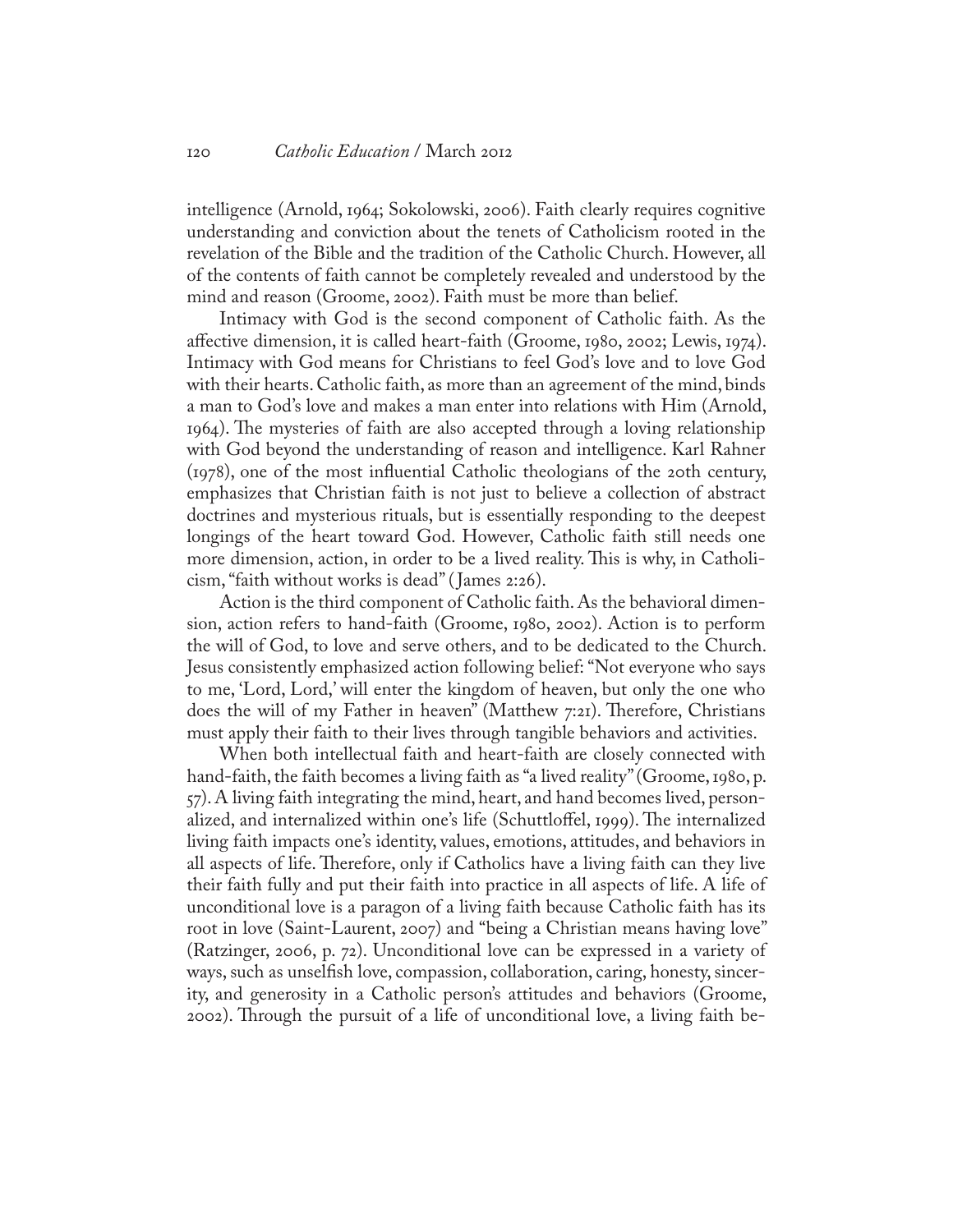intelligence (Arnold, 1964; Sokolowski, 2006). Faith clearly requires cognitive understanding and conviction about the tenets of Catholicism rooted in the revelation of the Bible and the tradition of the Catholic Church. However, all of the contents of faith cannot be completely revealed and understood by the mind and reason (Groome, 2002). Faith must be more than belief.

Intimacy with God is the second component of Catholic faith. As the affective dimension, it is called heart-faith (Groome, 1980, 2002; Lewis, 1974). Intimacy with God means for Christians to feel God's love and to love God with their hearts. Catholic faith, as more than an agreement of the mind, binds a man to God's love and makes a man enter into relations with Him (Arnold, 1964). The mysteries of faith are also accepted through a loving relationship with God beyond the understanding of reason and intelligence. Karl Rahner (1978), one of the most influential Catholic theologians of the 20th century, emphasizes that Christian faith is not just to believe a collection of abstract doctrines and mysterious rituals, but is essentially responding to the deepest longings of the heart toward God. However, Catholic faith still needs one more dimension, action, in order to be a lived reality. This is why, in Catholicism, "faith without works is dead" ( James 2:26).

Action is the third component of Catholic faith. As the behavioral dimension, action refers to hand-faith (Groome, 1980, 2002). Action is to perform the will of God, to love and serve others, and to be dedicated to the Church. Jesus consistently emphasized action following belief: "Not everyone who says to me, 'Lord, Lord,' will enter the kingdom of heaven, but only the one who does the will of my Father in heaven" (Matthew 7:21). Therefore, Christians must apply their faith to their lives through tangible behaviors and activities.

When both intellectual faith and heart-faith are closely connected with hand-faith, the faith becomes a living faith as "a lived reality" (Groome, 1980, p. 57). A living faith integrating the mind, heart, and hand becomes lived, personalized, and internalized within one's life (Schuttloffel, 1999). The internalized living faith impacts one's identity, values, emotions, attitudes, and behaviors in all aspects of life. Therefore, only if Catholics have a living faith can they live their faith fully and put their faith into practice in all aspects of life. A life of unconditional love is a paragon of a living faith because Catholic faith has its root in love (Saint-Laurent, 2007) and "being a Christian means having love" (Ratzinger, 2006, p. 72). Unconditional love can be expressed in a variety of ways, such as unselfish love, compassion, collaboration, caring, honesty, sincerity, and generosity in a Catholic person's attitudes and behaviors (Groome, 2002). Through the pursuit of a life of unconditional love, a living faith be-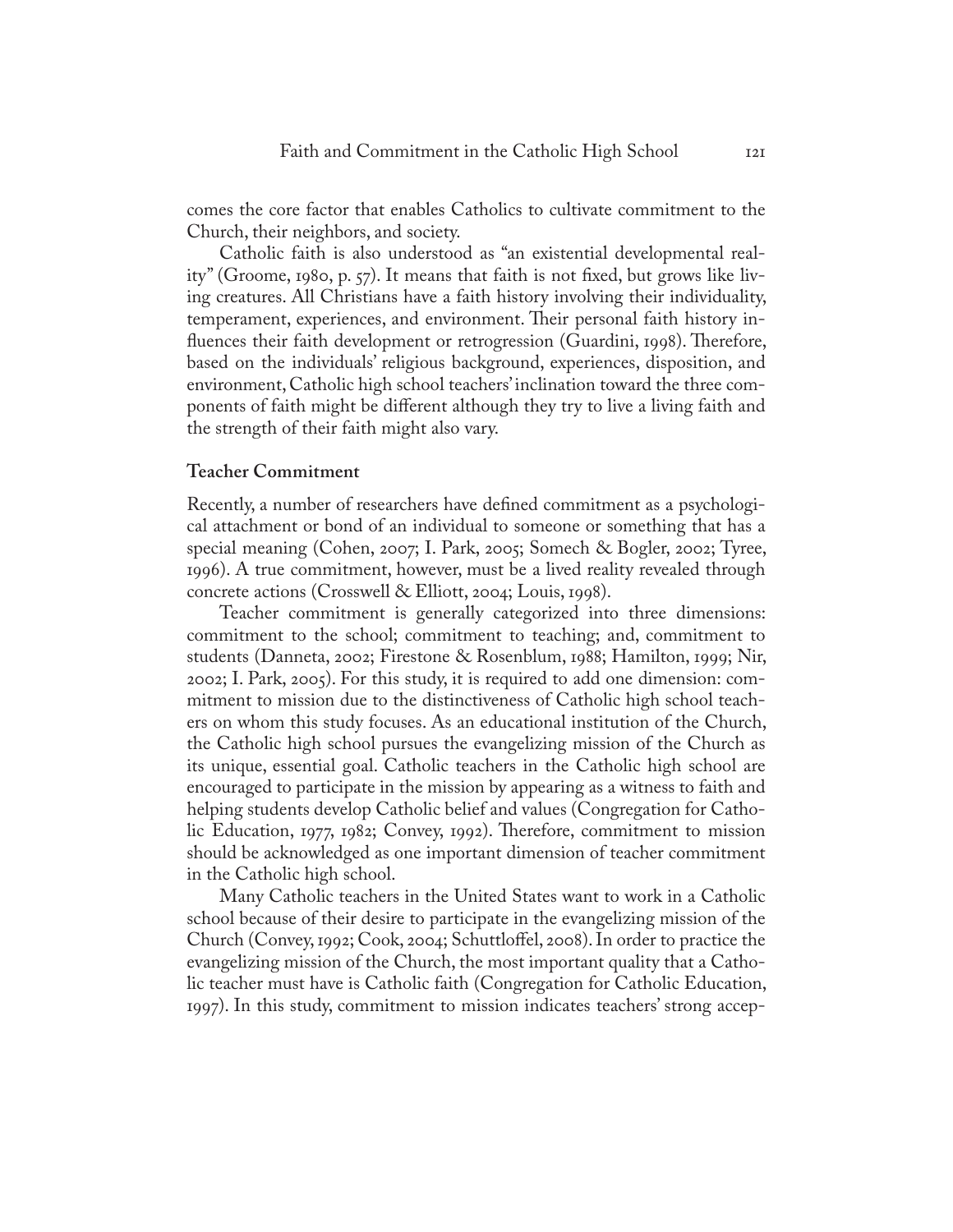comes the core factor that enables Catholics to cultivate commitment to the Church, their neighbors, and society.

Catholic faith is also understood as "an existential developmental reality" (Groome, 1980, p. 57). It means that faith is not fixed, but grows like living creatures. All Christians have a faith history involving their individuality, temperament, experiences, and environment. Their personal faith history influences their faith development or retrogression (Guardini, 1998). Therefore, based on the individuals' religious background, experiences, disposition, and environment, Catholic high school teachers' inclination toward the three components of faith might be different although they try to live a living faith and the strength of their faith might also vary.

# **Teacher Commitment**

Recently, a number of researchers have defined commitment as a psychological attachment or bond of an individual to someone or something that has a special meaning (Cohen, 2007; I. Park, 2005; Somech & Bogler, 2002; Tyree, 1996). A true commitment, however, must be a lived reality revealed through concrete actions (Crosswell & Elliott, 2004; Louis, 1998).

Teacher commitment is generally categorized into three dimensions: commitment to the school; commitment to teaching; and, commitment to students (Danneta, 2002; Firestone & Rosenblum, 1988; Hamilton, 1999; Nir, 2002; I. Park, 2005). For this study, it is required to add one dimension: commitment to mission due to the distinctiveness of Catholic high school teachers on whom this study focuses. As an educational institution of the Church, the Catholic high school pursues the evangelizing mission of the Church as its unique, essential goal. Catholic teachers in the Catholic high school are encouraged to participate in the mission by appearing as a witness to faith and helping students develop Catholic belief and values (Congregation for Catholic Education, 1977, 1982; Convey, 1992). Therefore, commitment to mission should be acknowledged as one important dimension of teacher commitment in the Catholic high school.

Many Catholic teachers in the United States want to work in a Catholic school because of their desire to participate in the evangelizing mission of the Church (Convey, 1992; Cook, 2004; Schuttloffel, 2008). In order to practice the evangelizing mission of the Church, the most important quality that a Catholic teacher must have is Catholic faith (Congregation for Catholic Education, 1997). In this study, commitment to mission indicates teachers' strong accep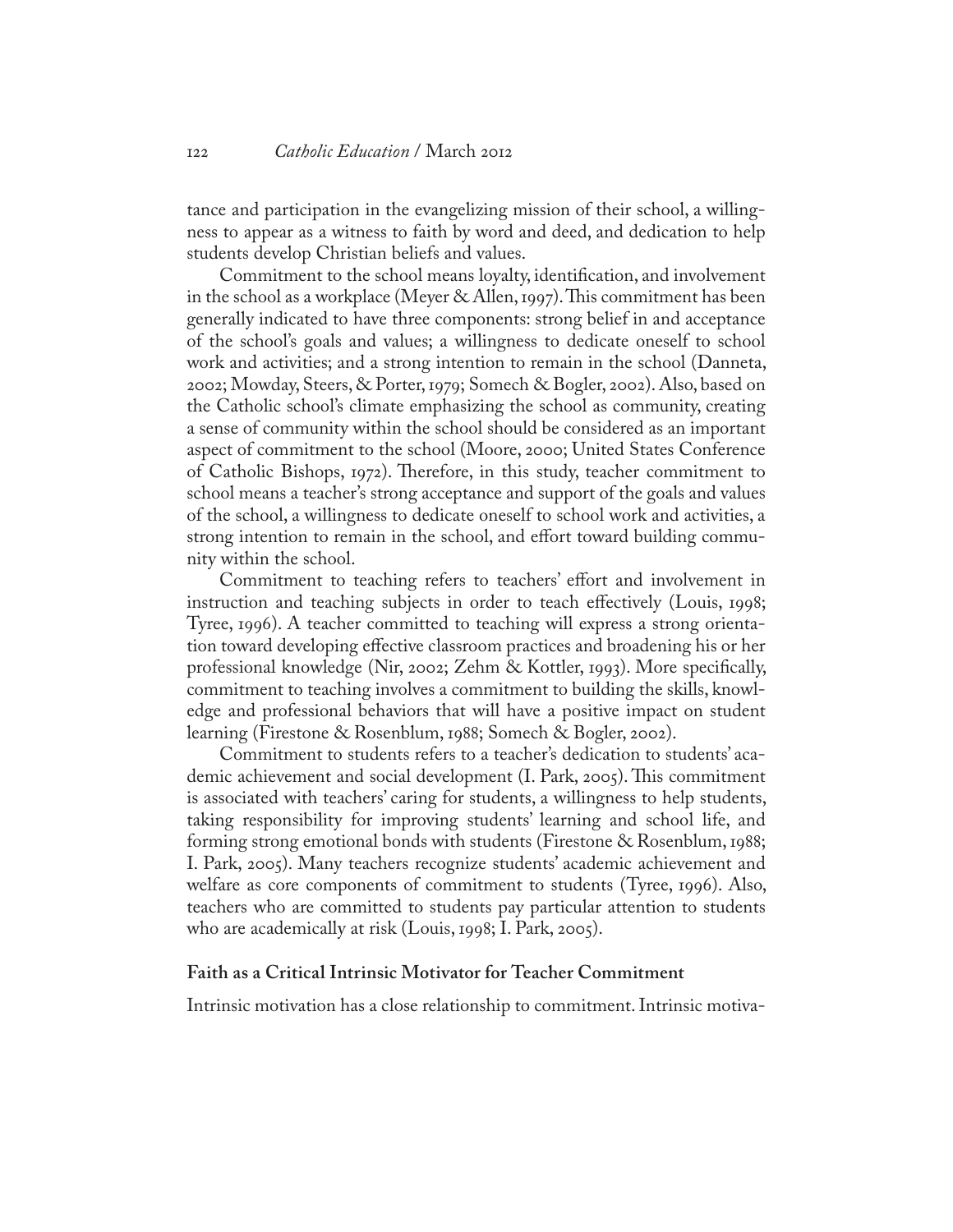tance and participation in the evangelizing mission of their school, a willingness to appear as a witness to faith by word and deed, and dedication to help students develop Christian beliefs and values.

Commitment to the school means loyalty, identification, and involvement in the school as a workplace (Meyer & Allen, 1997). This commitment has been generally indicated to have three components: strong belief in and acceptance of the school's goals and values; a willingness to dedicate oneself to school work and activities; and a strong intention to remain in the school (Danneta, 2002; Mowday, Steers, & Porter, 1979; Somech & Bogler, 2002). Also, based on the Catholic school's climate emphasizing the school as community, creating a sense of community within the school should be considered as an important aspect of commitment to the school (Moore, 2000; United States Conference of Catholic Bishops, 1972). Therefore, in this study, teacher commitment to school means a teacher's strong acceptance and support of the goals and values of the school, a willingness to dedicate oneself to school work and activities, a strong intention to remain in the school, and effort toward building community within the school.

Commitment to teaching refers to teachers' effort and involvement in instruction and teaching subjects in order to teach effectively (Louis, 1998; Tyree, 1996). A teacher committed to teaching will express a strong orientation toward developing effective classroom practices and broadening his or her professional knowledge (Nir, 2002; Zehm & Kottler, 1993). More specifically, commitment to teaching involves a commitment to building the skills, knowledge and professional behaviors that will have a positive impact on student learning (Firestone & Rosenblum, 1988; Somech & Bogler, 2002).

Commitment to students refers to a teacher's dedication to students' academic achievement and social development (I. Park, 2005). This commitment is associated with teachers' caring for students, a willingness to help students, taking responsibility for improving students' learning and school life, and forming strong emotional bonds with students (Firestone & Rosenblum, 1988; I. Park, 2005). Many teachers recognize students' academic achievement and welfare as core components of commitment to students (Tyree, 1996). Also, teachers who are committed to students pay particular attention to students who are academically at risk (Louis, 1998; I. Park, 2005).

#### **Faith as a Critical Intrinsic Motivator for Teacher Commitment**

Intrinsic motivation has a close relationship to commitment. Intrinsic motiva-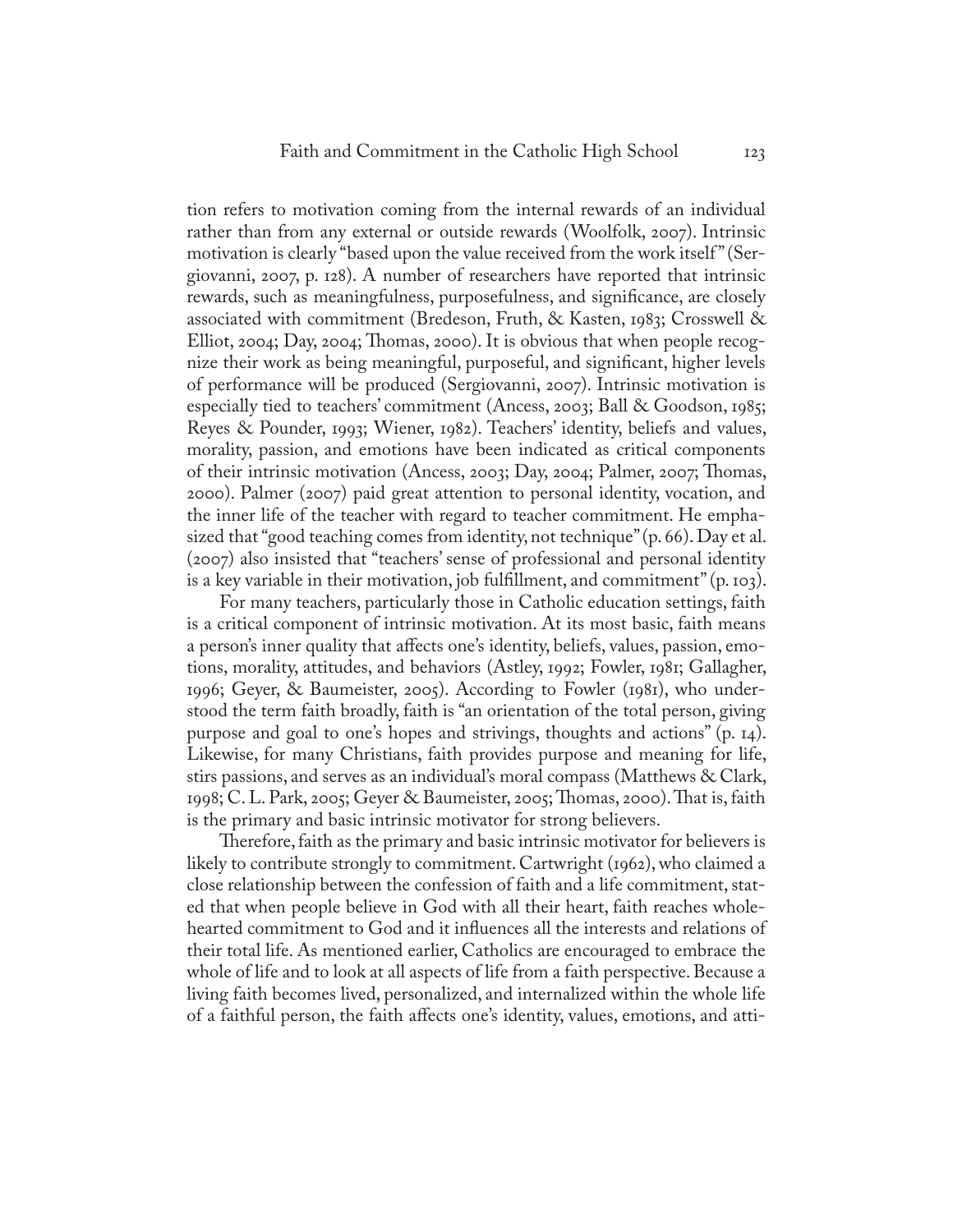tion refers to motivation coming from the internal rewards of an individual rather than from any external or outside rewards (Woolfolk, 2007). Intrinsic motivation is clearly "based upon the value received from the work itself " (Sergiovanni, 2007, p. 128). A number of researchers have reported that intrinsic rewards, such as meaningfulness, purposefulness, and significance, are closely associated with commitment (Bredeson, Fruth, & Kasten, 1983; Crosswell & Elliot, 2004; Day, 2004; Thomas, 2000). It is obvious that when people recognize their work as being meaningful, purposeful, and significant, higher levels of performance will be produced (Sergiovanni, 2007). Intrinsic motivation is especially tied to teachers' commitment (Ancess, 2003; Ball & Goodson, 1985; Reyes & Pounder, 1993; Wiener, 1982). Teachers' identity, beliefs and values, morality, passion, and emotions have been indicated as critical components of their intrinsic motivation (Ancess, 2003; Day, 2004; Palmer, 2007; Thomas, 2000). Palmer (2007) paid great attention to personal identity, vocation, and the inner life of the teacher with regard to teacher commitment. He emphasized that "good teaching comes from identity, not technique" (p. 66). Day et al. (2007) also insisted that "teachers' sense of professional and personal identity is a key variable in their motivation, job fulfillment, and commitment" (p. 103).

For many teachers, particularly those in Catholic education settings, faith is a critical component of intrinsic motivation. At its most basic, faith means a person's inner quality that affects one's identity, beliefs, values, passion, emotions, morality, attitudes, and behaviors (Astley, 1992; Fowler, 1981; Gallagher, 1996; Geyer, & Baumeister, 2005). According to Fowler (1981), who understood the term faith broadly, faith is "an orientation of the total person, giving purpose and goal to one's hopes and strivings, thoughts and actions" (p. 14). Likewise, for many Christians, faith provides purpose and meaning for life, stirs passions, and serves as an individual's moral compass (Matthews & Clark, 1998; C. L. Park, 2005; Geyer & Baumeister, 2005; Thomas, 2000). That is, faith is the primary and basic intrinsic motivator for strong believers.

Therefore, faith as the primary and basic intrinsic motivator for believers is likely to contribute strongly to commitment. Cartwright (1962), who claimed a close relationship between the confession of faith and a life commitment, stated that when people believe in God with all their heart, faith reaches wholehearted commitment to God and it influences all the interests and relations of their total life. As mentioned earlier, Catholics are encouraged to embrace the whole of life and to look at all aspects of life from a faith perspective. Because a living faith becomes lived, personalized, and internalized within the whole life of a faithful person, the faith affects one's identity, values, emotions, and atti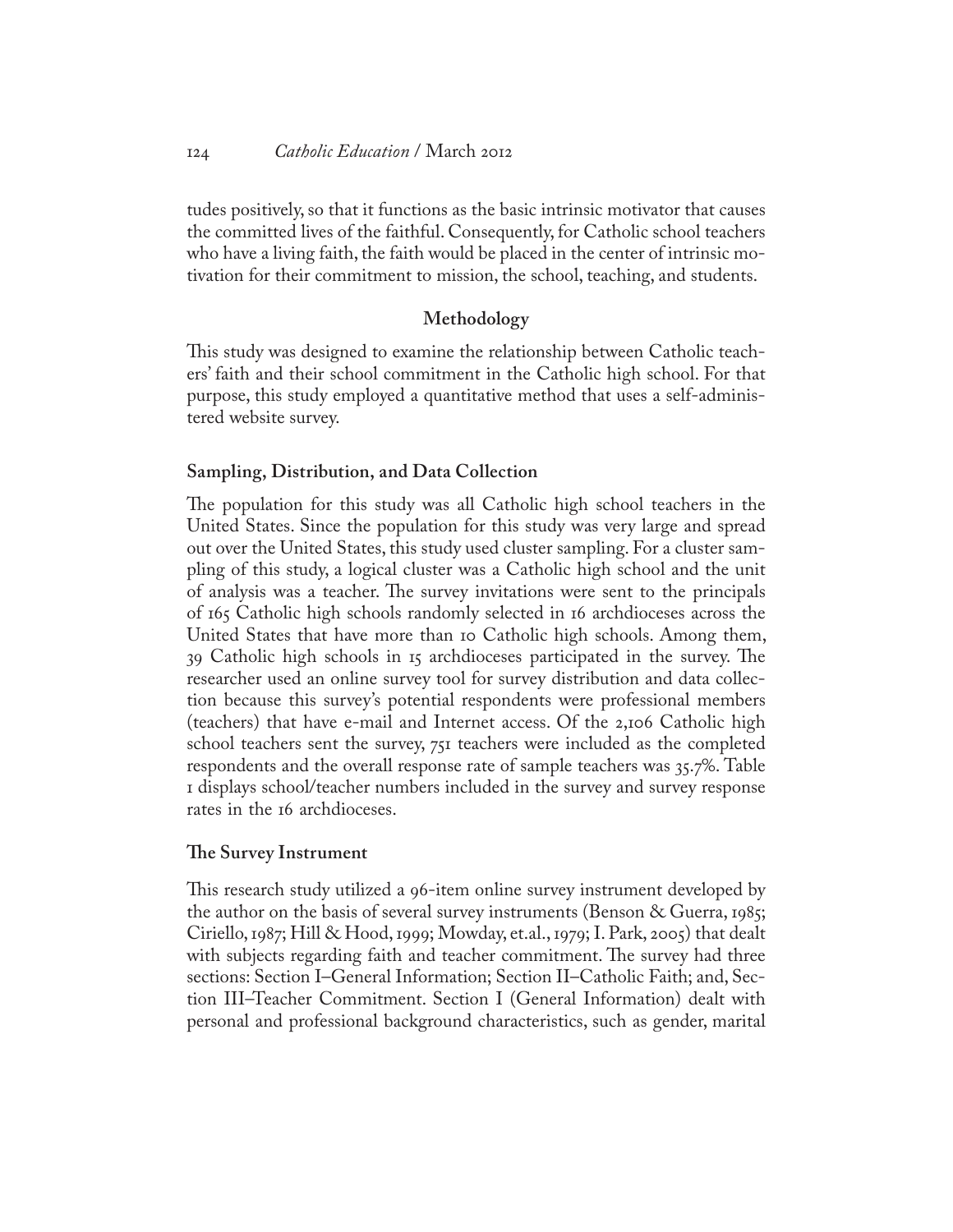tudes positively, so that it functions as the basic intrinsic motivator that causes the committed lives of the faithful. Consequently, for Catholic school teachers who have a living faith, the faith would be placed in the center of intrinsic motivation for their commitment to mission, the school, teaching, and students.

# **Methodology**

This study was designed to examine the relationship between Catholic teachers' faith and their school commitment in the Catholic high school. For that purpose, this study employed a quantitative method that uses a self-administered website survey.

#### **Sampling, Distribution, and Data Collection**

The population for this study was all Catholic high school teachers in the United States. Since the population for this study was very large and spread out over the United States, this study used cluster sampling. For a cluster sampling of this study, a logical cluster was a Catholic high school and the unit of analysis was a teacher. The survey invitations were sent to the principals of 165 Catholic high schools randomly selected in 16 archdioceses across the United States that have more than 10 Catholic high schools. Among them, 39 Catholic high schools in 15 archdioceses participated in the survey. The researcher used an online survey tool for survey distribution and data collection because this survey's potential respondents were professional members (teachers) that have e-mail and Internet access. Of the 2,106 Catholic high school teachers sent the survey, 751 teachers were included as the completed respondents and the overall response rate of sample teachers was 35.7%. Table 1 displays school/teacher numbers included in the survey and survey response rates in the 16 archdioceses.

# **The Survey Instrument**

This research study utilized a 96-item online survey instrument developed by the author on the basis of several survey instruments (Benson & Guerra, 1985; Ciriello, 1987; Hill & Hood, 1999; Mowday, et.al., 1979; I. Park, 2005) that dealt with subjects regarding faith and teacher commitment. The survey had three sections: Section I–General Information; Section II–Catholic Faith; and, Section III–Teacher Commitment. Section I (General Information) dealt with personal and professional background characteristics, such as gender, marital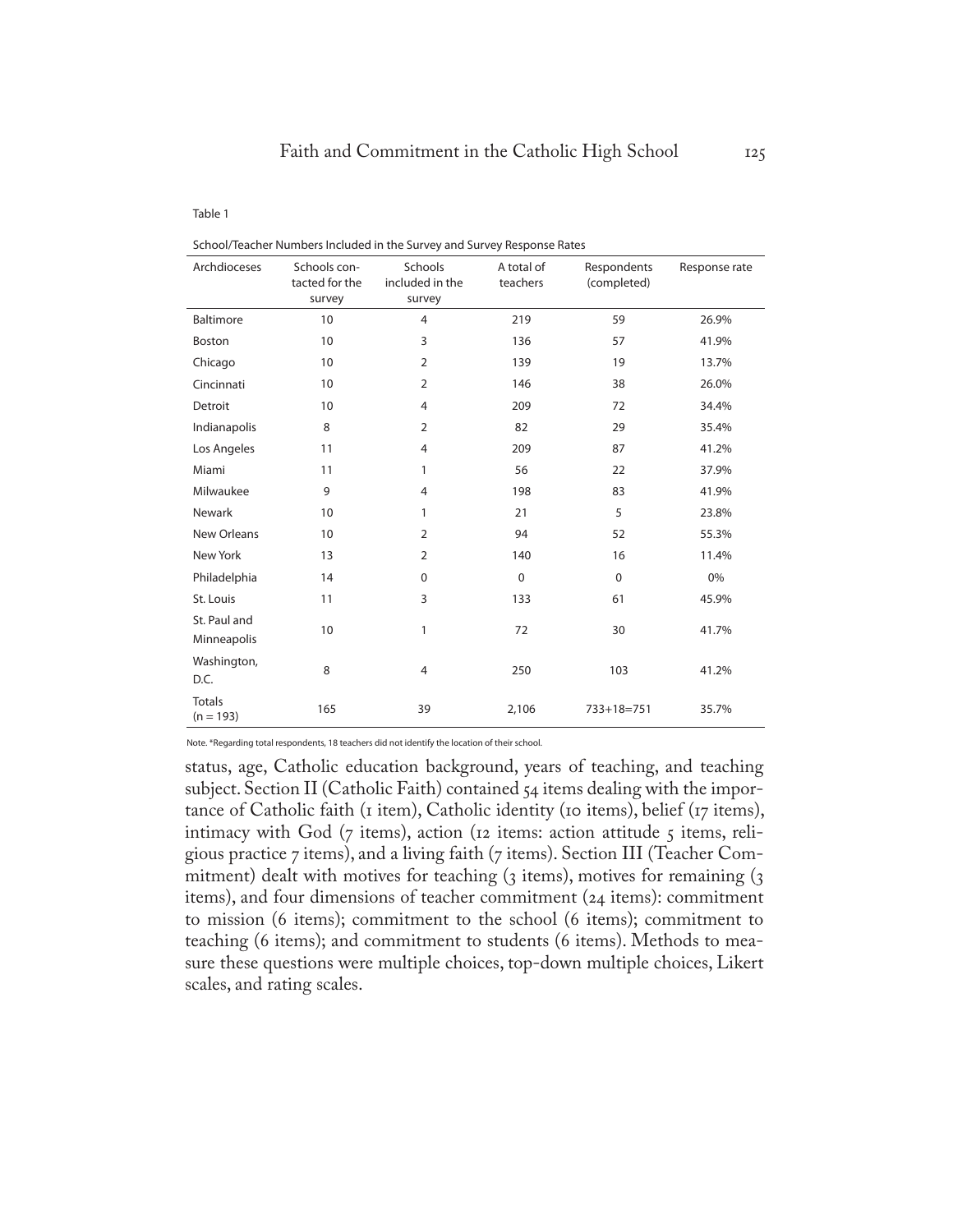| School/Teacher Numbers Included in the Survey and Survey Response Rates |  |
|-------------------------------------------------------------------------|--|
|-------------------------------------------------------------------------|--|

| Archdioceses                 | Schools con-<br>tacted for the<br>survey | <b>Schools</b><br>included in the<br>survey | A total of<br>teachers | Respondents<br>(completed) | Response rate |
|------------------------------|------------------------------------------|---------------------------------------------|------------------------|----------------------------|---------------|
| Baltimore                    | 10                                       | $\overline{4}$                              | 219                    | 59                         | 26.9%         |
| <b>Boston</b>                | 10                                       | 3                                           | 136                    | 57                         | 41.9%         |
| Chicago                      | 10                                       | $\overline{2}$                              | 139                    | 19                         | 13.7%         |
| Cincinnati                   | 10                                       | $\overline{2}$                              | 146                    | 38                         | 26.0%         |
| Detroit                      | 10                                       | $\overline{4}$                              | 209                    | 72                         | 34.4%         |
| Indianapolis                 | 8                                        | $\overline{2}$                              | 82                     | 29                         | 35.4%         |
| Los Angeles                  | 11                                       | $\overline{4}$                              | 209                    | 87                         | 41.2%         |
| Miami                        | 11                                       | 1                                           | 56                     | 22                         | 37.9%         |
| Milwaukee                    | 9                                        | $\overline{4}$                              | 198                    | 83                         | 41.9%         |
| <b>Newark</b>                | 10                                       | 1                                           | 21                     | 5                          | 23.8%         |
| New Orleans                  | 10                                       | $\overline{2}$                              | 94                     | 52                         | 55.3%         |
| New York                     | 13                                       | $\overline{2}$                              | 140                    | 16                         | 11.4%         |
| Philadelphia                 | 14                                       | $\mathbf 0$                                 | $\Omega$               | $\mathbf 0$                | $0\%$         |
| St. Louis                    | 11                                       | 3                                           | 133                    | 61                         | 45.9%         |
| St. Paul and<br>Minneapolis  | 10                                       | 1                                           | 72                     | 30                         | 41.7%         |
| Washington,<br>D.C.          | 8                                        | $\overline{4}$                              | 250                    | 103                        | 41.2%         |
| <b>Totals</b><br>$(n = 193)$ | 165                                      | 39                                          | 2,106                  | $733+18=751$               | 35.7%         |

Note. \*Regarding total respondents, 18 teachers did not identify the location of their school.

status, age, Catholic education background, years of teaching, and teaching subject. Section II (Catholic Faith) contained 54 items dealing with the importance of Catholic faith ( $\tau$  item), Catholic identity ( $\tau$  items), belief ( $\tau$ <sup>2</sup> items), intimacy with God ( $\tau$  items), action (12 items: action attitude  $\zeta$  items, religious practice 7 items), and a living faith (7 items). Section III (Teacher Commitment) dealt with motives for teaching (3 items), motives for remaining (3 items), and four dimensions of teacher commitment (24 items): commitment to mission (6 items); commitment to the school (6 items); commitment to teaching (6 items); and commitment to students (6 items). Methods to measure these questions were multiple choices, top-down multiple choices, Likert scales, and rating scales.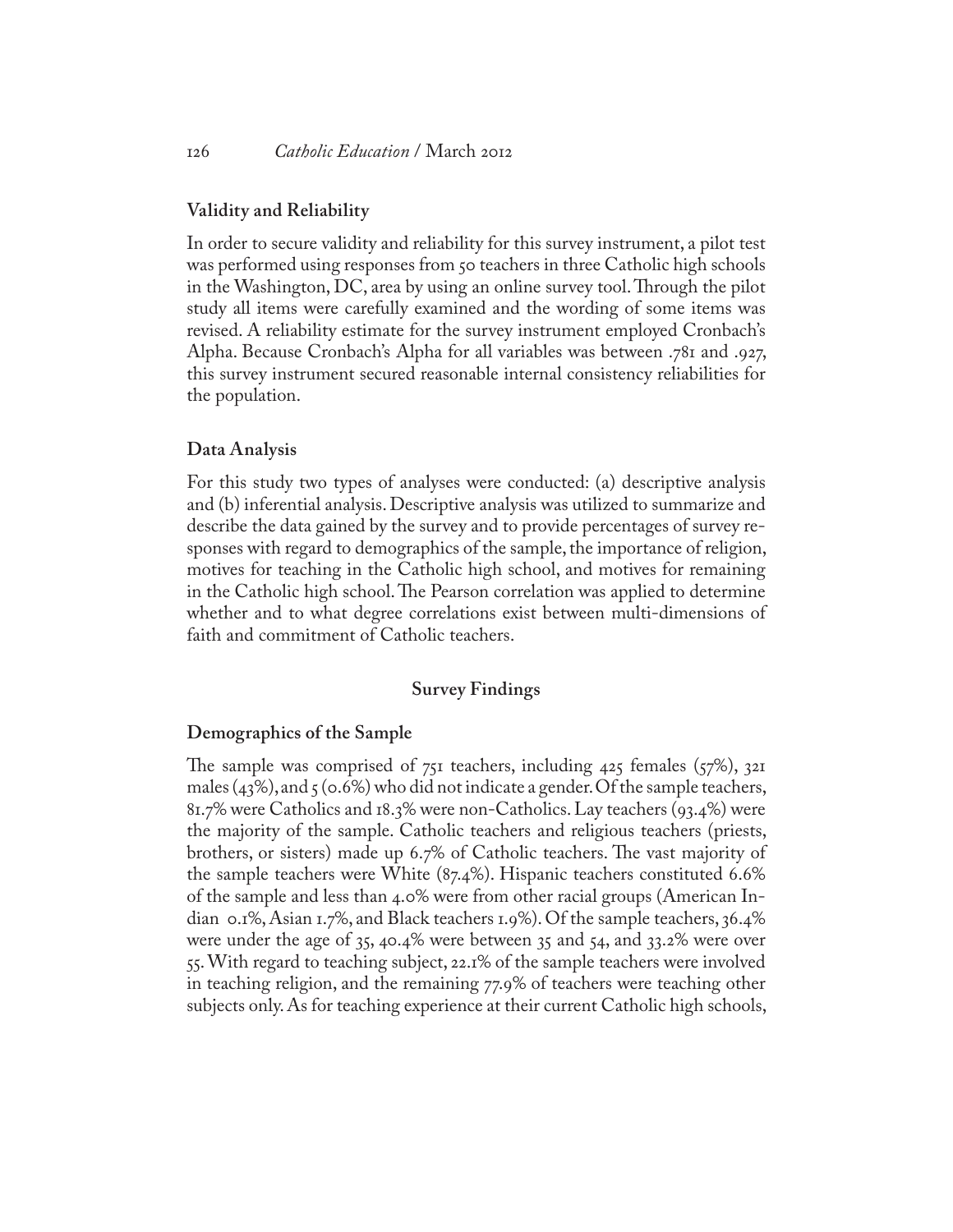### **Validity and Reliability**

In order to secure validity and reliability for this survey instrument, a pilot test was performed using responses from 50 teachers in three Catholic high schools in the Washington, DC, area by using an online survey tool. Through the pilot study all items were carefully examined and the wording of some items was revised. A reliability estimate for the survey instrument employed Cronbach's Alpha. Because Cronbach's Alpha for all variables was between .781 and .927, this survey instrument secured reasonable internal consistency reliabilities for the population.

#### **Data Analysis**

For this study two types of analyses were conducted: (a) descriptive analysis and (b) inferential analysis. Descriptive analysis was utilized to summarize and describe the data gained by the survey and to provide percentages of survey responses with regard to demographics of the sample, the importance of religion, motives for teaching in the Catholic high school, and motives for remaining in the Catholic high school. The Pearson correlation was applied to determine whether and to what degree correlations exist between multi-dimensions of faith and commitment of Catholic teachers.

#### **Survey Findings**

#### **Demographics of the Sample**

The sample was comprised of  $75I$  teachers, including  $425$  females  $(57\%)$ ,  $32I$ males (43%), and  $\zeta$  (0.6%) who did not indicate a gender. Of the sample teachers, 81.7% were Catholics and 18.3% were non-Catholics. Lay teachers (93.4%) were the majority of the sample. Catholic teachers and religious teachers (priests, brothers, or sisters) made up 6.7% of Catholic teachers. The vast majority of the sample teachers were White (87.4%). Hispanic teachers constituted 6.6% of the sample and less than 4.0% were from other racial groups (American Indian 0.1%, Asian 1.7%, and Black teachers 1.9%). Of the sample teachers, 36.4% were under the age of 35, 40.4% were between 35 and 54, and 33.2% were over 55. With regard to teaching subject, 22.1% of the sample teachers were involved in teaching religion, and the remaining 77.9% of teachers were teaching other subjects only. As for teaching experience at their current Catholic high schools,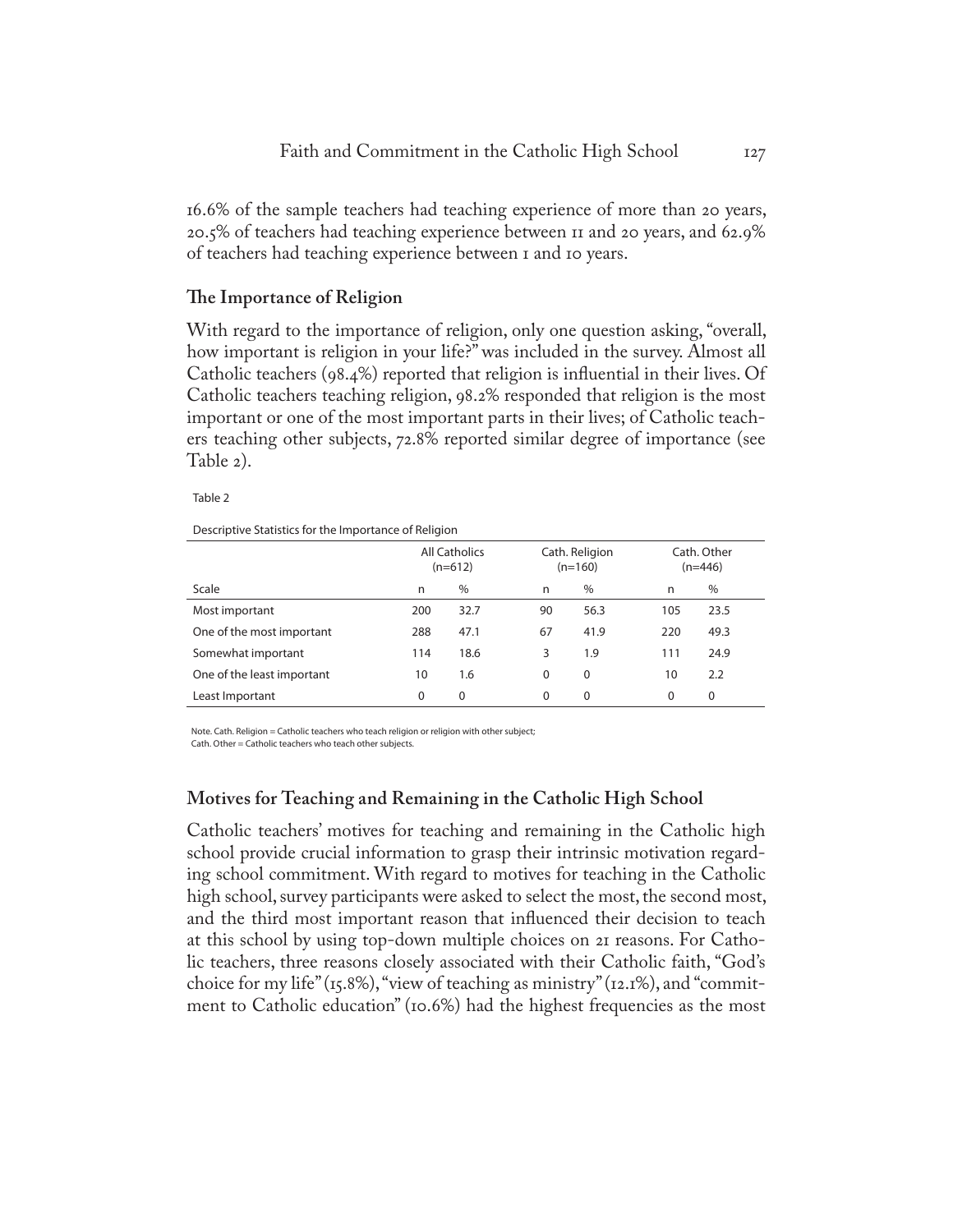16.6% of the sample teachers had teaching experience of more than 20 years, 20.5% of teachers had teaching experience between 11 and 20 years, and 62.9% of teachers had teaching experience between 1 and 10 years.

#### **The Importance of Religion**

With regard to the importance of religion, only one question asking, "overall, how important is religion in your life?" was included in the survey. Almost all Catholic teachers (98.4%) reported that religion is influential in their lives. Of Catholic teachers teaching religion, 98.2% responded that religion is the most important or one of the most important parts in their lives; of Catholic teachers teaching other subjects, 72.8% reported similar degree of importance (see Table 2).

Table 2

Descriptive Statistics for the Importance of Religion

|                            | <b>All Catholics</b><br>$(n=612)$ |          | Cath. Religion<br>$(n=160)$ |          | Cath. Other<br>$(n=446)$ |          |
|----------------------------|-----------------------------------|----------|-----------------------------|----------|--------------------------|----------|
| Scale                      | n                                 | $\%$     | n                           | $\%$     | n                        | $\%$     |
| Most important             | 200                               | 32.7     | 90                          | 56.3     | 105                      | 23.5     |
| One of the most important  | 288                               | 47.1     | 67                          | 41.9     | 220                      | 49.3     |
| Somewhat important         | 114                               | 18.6     | 3                           | 1.9      | 111                      | 24.9     |
| One of the least important | 10                                | 1.6      | 0                           | $\Omega$ | 10                       | 2.2      |
| Least Important            | $\Omega$                          | $\Omega$ | 0                           | $\Omega$ | 0                        | $\Omega$ |

Note. Cath. Religion = Catholic teachers who teach religion or religion with other subject;

Cath. Other = Catholic teachers who teach other subjects.

# **Motives for Teaching and Remaining in the Catholic High School**

Catholic teachers' motives for teaching and remaining in the Catholic high school provide crucial information to grasp their intrinsic motivation regarding school commitment. With regard to motives for teaching in the Catholic high school, survey participants were asked to select the most, the second most, and the third most important reason that influenced their decision to teach at this school by using top-down multiple choices on 21 reasons. For Catholic teachers, three reasons closely associated with their Catholic faith, "God's choice for my life" (15.8%), "view of teaching as ministry" (12.1%), and "commitment to Catholic education" (10.6%) had the highest frequencies as the most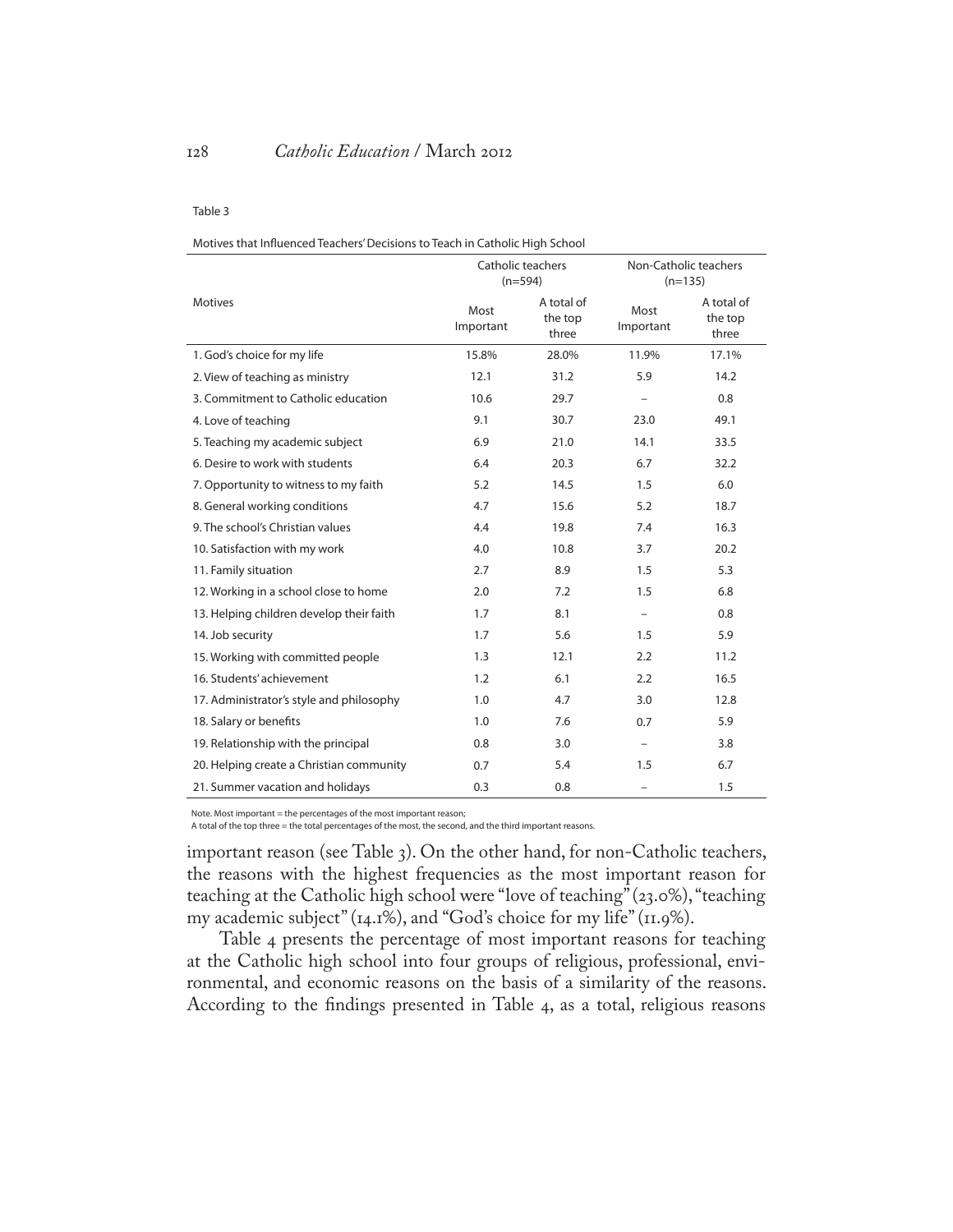Motives that Influenced Teachers' Decisions to Teach in Catholic High School

|                                          | Catholic teachers<br>$(n=594)$ |                                | Non-Catholic teachers<br>$(n=135)$ |                                |  |
|------------------------------------------|--------------------------------|--------------------------------|------------------------------------|--------------------------------|--|
| <b>Motives</b>                           | Most<br>Important              | A total of<br>the top<br>three | Most<br>Important                  | A total of<br>the top<br>three |  |
| 1. God's choice for my life              | 15.8%                          | 28.0%                          | 11.9%                              | 17.1%                          |  |
| 2. View of teaching as ministry          | 12.1                           | 31.2                           | 5.9                                | 14.2                           |  |
| 3. Commitment to Catholic education      | 10.6                           | 29.7                           | $\overline{\phantom{0}}$           | 0.8                            |  |
| 4. Love of teaching                      | 9.1                            | 30.7                           | 23.0                               | 49.1                           |  |
| 5. Teaching my academic subject          | 6.9                            | 21.0                           | 14.1                               | 33.5                           |  |
| 6. Desire to work with students          | 6.4                            | 20.3                           | 6.7                                | 32.2                           |  |
| 7. Opportunity to witness to my faith    | 5.2                            | 14.5                           | 1.5                                | 6.0                            |  |
| 8. General working conditions            | 4.7                            | 15.6                           | 5.2                                | 18.7                           |  |
| 9. The school's Christian values         | 4.4                            | 19.8                           | 7.4                                | 16.3                           |  |
| 10. Satisfaction with my work            | 4.0                            | 10.8                           | 3.7                                | 20.2                           |  |
| 11. Family situation                     | 2.7                            | 8.9                            | 1.5                                | 5.3                            |  |
| 12. Working in a school close to home    | 2.0                            | 7.2                            | 1.5                                | 6.8                            |  |
| 13. Helping children develop their faith | 1.7                            | 8.1                            | $\overline{\phantom{0}}$           | 0.8                            |  |
| 14. Job security                         | 1.7                            | 5.6                            | 1.5                                | 5.9                            |  |
| 15. Working with committed people        | 1.3                            | 12.1                           | 2.2                                | 11.2                           |  |
| 16. Students' achievement                | 1.2                            | 6.1                            | 2.2                                | 16.5                           |  |
| 17. Administrator's style and philosophy | 1.0                            | 4.7                            | 3.0                                | 12.8                           |  |
| 18. Salary or benefits                   | 1.0                            | 7.6                            | 0.7                                | 5.9                            |  |
| 19. Relationship with the principal      | 0.8                            | 3.0                            | -                                  | 3.8                            |  |
| 20. Helping create a Christian community | 0.7                            | 5.4                            | 1.5                                | 6.7                            |  |
| 21. Summer vacation and holidays         | 0.3                            | 0.8                            | $\qquad \qquad -$                  | 1.5                            |  |

Note. Most important = the percentages of the most important reason;

A total of the top three = the total percentages of the most, the second, and the third important reasons.

important reason (see Table 3). On the other hand, for non-Catholic teachers, the reasons with the highest frequencies as the most important reason for teaching at the Catholic high school were "love of teaching" (23.0%), "teaching my academic subject" (14.1%), and "God's choice for my life" (11.9%).

Table 4 presents the percentage of most important reasons for teaching at the Catholic high school into four groups of religious, professional, environmental, and economic reasons on the basis of a similarity of the reasons. According to the findings presented in Table 4, as a total, religious reasons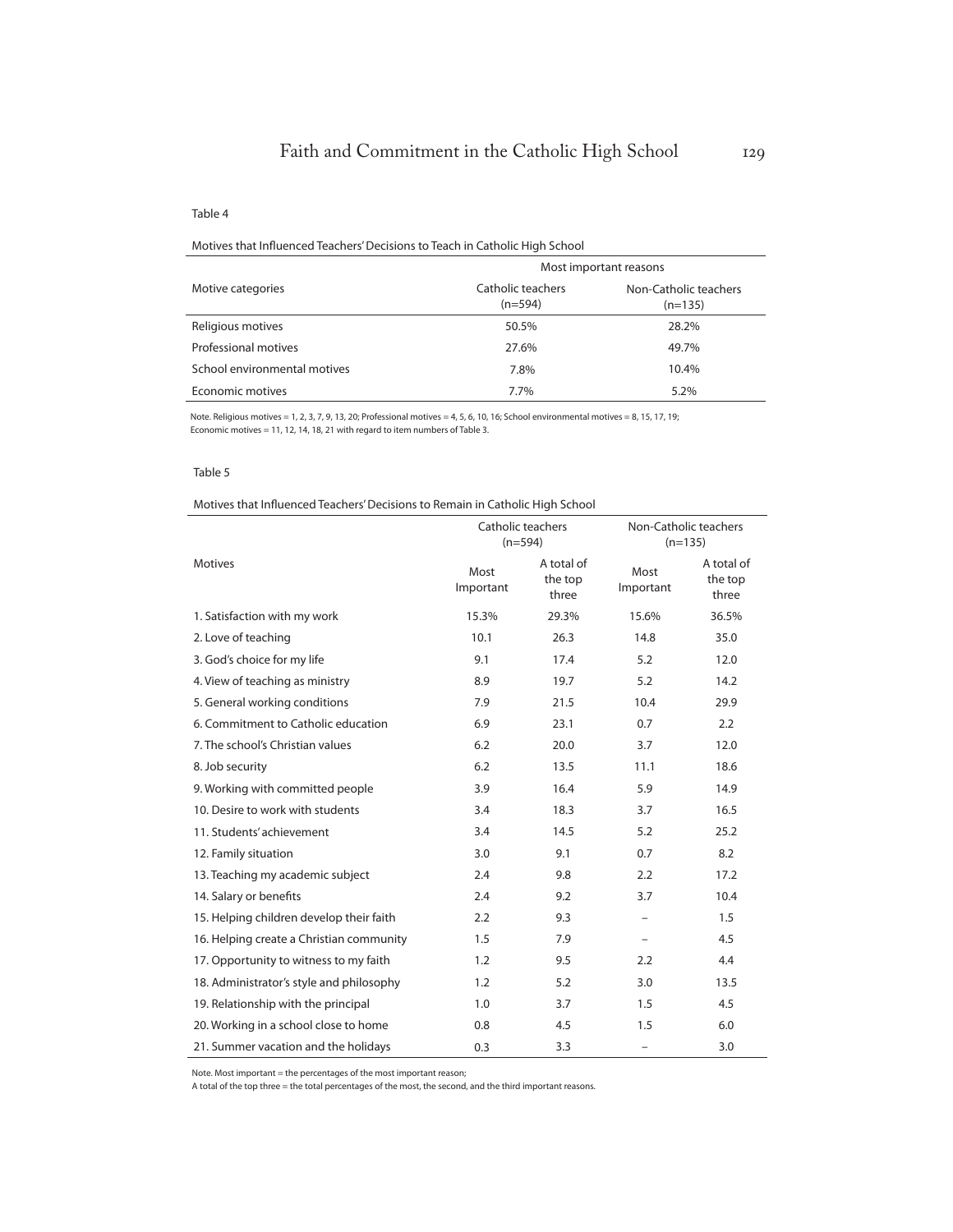#### Motives that Influenced Teachers' Decisions to Teach in Catholic High School

|                              | Most important reasons         |                                    |  |  |  |  |
|------------------------------|--------------------------------|------------------------------------|--|--|--|--|
| Motive categories            | Catholic teachers<br>$(n=594)$ | Non-Catholic teachers<br>$(n=135)$ |  |  |  |  |
| Religious motives            | 50.5%                          | 28.2%                              |  |  |  |  |
| Professional motives         | 27.6%                          | 49.7%                              |  |  |  |  |
| School environmental motives | 7.8%                           | 10.4%                              |  |  |  |  |
| Economic motives             | 7.7%                           | $5.2\%$                            |  |  |  |  |

Note. Religious motives = 1, 2, 3, 7, 9, 13, 20; Professional motives = 4, 5, 6, 10, 16; School environmental motives = 8, 15, 17, 19; Economic motives = 11, 12, 14, 18, 21 with regard to item numbers of Table 3.

#### Table 5

#### Motives that Influenced Teachers' Decisions to Remain in Catholic High School

|                                          | Catholic teachers<br>$(n=594)$ |                                | Non-Catholic teachers<br>$(n=135)$ |                                |  |
|------------------------------------------|--------------------------------|--------------------------------|------------------------------------|--------------------------------|--|
| <b>Motives</b>                           | Most<br>Important              | A total of<br>the top<br>three | Most<br>Important                  | A total of<br>the top<br>three |  |
| 1. Satisfaction with my work             | 15.3%                          | 29.3%                          | 15.6%                              | 36.5%                          |  |
| 2. Love of teaching                      | 10.1                           | 26.3                           | 14.8                               | 35.0                           |  |
| 3. God's choice for my life              | 9.1                            | 17.4                           | 5.2                                | 12.0                           |  |
| 4. View of teaching as ministry          | 8.9                            | 19.7                           | 5.2                                | 14.2                           |  |
| 5. General working conditions            | 7.9                            | 21.5                           | 10.4                               | 29.9                           |  |
| 6. Commitment to Catholic education      | 6.9                            | 23.1                           | 0.7                                | 2.2                            |  |
| 7. The school's Christian values         | 6.2                            | 20.0                           | 3.7                                | 12.0                           |  |
| 8. Job security                          | 6.2                            | 13.5                           | 11.1                               | 18.6                           |  |
| 9. Working with committed people         | 3.9                            | 16.4                           | 5.9                                | 14.9                           |  |
| 10. Desire to work with students         | 3.4                            | 18.3                           | 3.7                                | 16.5                           |  |
| 11. Students' achievement                | 3.4                            | 14.5                           | 5.2                                | 25.2                           |  |
| 12. Family situation                     | 3.0                            | 9.1                            | 0.7                                | 8.2                            |  |
| 13. Teaching my academic subject         | 2.4                            | 9.8                            | 2.2                                | 17.2                           |  |
| 14. Salary or benefits                   | 2.4                            | 9.2                            | 3.7                                | 10.4                           |  |
| 15. Helping children develop their faith | 2.2                            | 9.3                            | $\qquad \qquad -$                  | 1.5                            |  |
| 16. Helping create a Christian community | 1.5                            | 7.9                            | $\overline{\phantom{0}}$           | 4.5                            |  |
| 17. Opportunity to witness to my faith   | 1.2                            | 9.5                            | 2.2                                | 4.4                            |  |
| 18. Administrator's style and philosophy | 1.2                            | 5.2                            | 3.0                                | 13.5                           |  |
| 19. Relationship with the principal      | 1.0                            | 3.7                            | 1.5                                | 4.5                            |  |
| 20. Working in a school close to home    | 0.8                            | 4.5                            | 1.5                                | 6.0                            |  |
| 21. Summer vacation and the holidays     | 0.3                            | 3.3                            | $\qquad \qquad -$                  | 3.0                            |  |

Note. Most important = the percentages of the most important reason;

A total of the top three = the total percentages of the most, the second, and the third important reasons.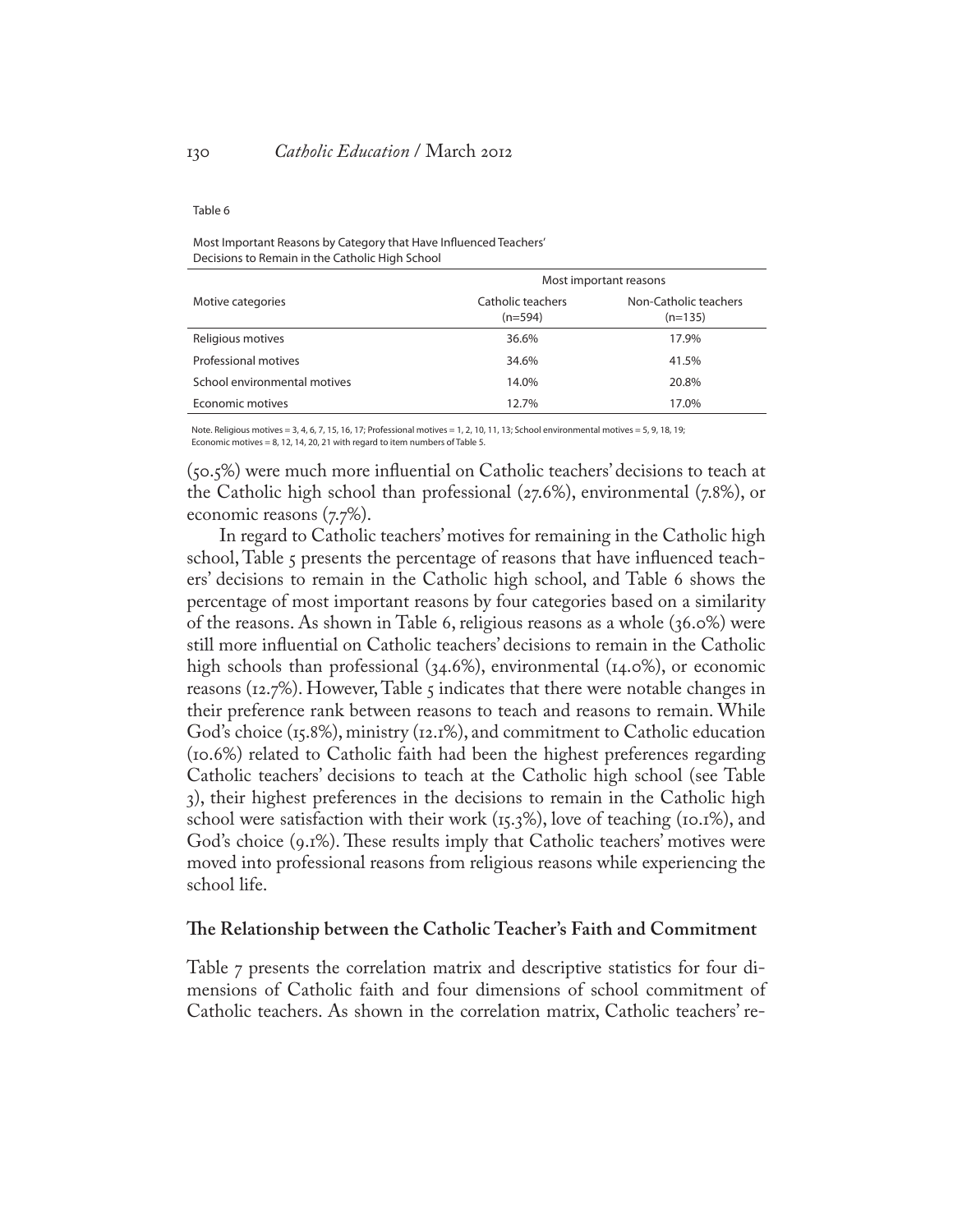Most Important Reasons by Category that Have Influenced Teachers' Decisions to Remain in the Catholic High School

|                              | Most important reasons         |                                    |  |  |  |
|------------------------------|--------------------------------|------------------------------------|--|--|--|
| Motive categories            | Catholic teachers<br>$(n=594)$ | Non-Catholic teachers<br>$(n=135)$ |  |  |  |
| Religious motives            | 36.6%                          | 17.9%                              |  |  |  |
| Professional motives         | 34.6%                          | 41.5%                              |  |  |  |
| School environmental motives | 14.0%                          | 20.8%                              |  |  |  |
| Economic motives             | 12.7%                          | 17.0%                              |  |  |  |

Note. Religious motives = 3, 4, 6, 7, 15, 16, 17; Professional motives = 1, 2, 10, 11, 13; School environmental motives = 5, 9, 18, 19; Economic motives = 8, 12, 14, 20, 21 with regard to item numbers of Table 5.

(50.5%) were much more influential on Catholic teachers' decisions to teach at the Catholic high school than professional (27.6%), environmental (7.8%), or economic reasons (7.7%).

In regard to Catholic teachers' motives for remaining in the Catholic high school, Table 5 presents the percentage of reasons that have influenced teachers' decisions to remain in the Catholic high school, and Table 6 shows the percentage of most important reasons by four categories based on a similarity of the reasons. As shown in Table 6, religious reasons as a whole (36.0%) were still more influential on Catholic teachers' decisions to remain in the Catholic high schools than professional (34.6%), environmental (14.0%), or economic reasons (12.7%). However, Table 5 indicates that there were notable changes in their preference rank between reasons to teach and reasons to remain. While God's choice (15.8%), ministry (12.1%), and commitment to Catholic education (10.6%) related to Catholic faith had been the highest preferences regarding Catholic teachers' decisions to teach at the Catholic high school (see Table 3), their highest preferences in the decisions to remain in the Catholic high school were satisfaction with their work (15.3%), love of teaching (10.1%), and God's choice (9.1%). These results imply that Catholic teachers' motives were moved into professional reasons from religious reasons while experiencing the school life.

#### **The Relationship between the Catholic Teacher's Faith and Commitment**

Table 7 presents the correlation matrix and descriptive statistics for four dimensions of Catholic faith and four dimensions of school commitment of Catholic teachers. As shown in the correlation matrix, Catholic teachers' re-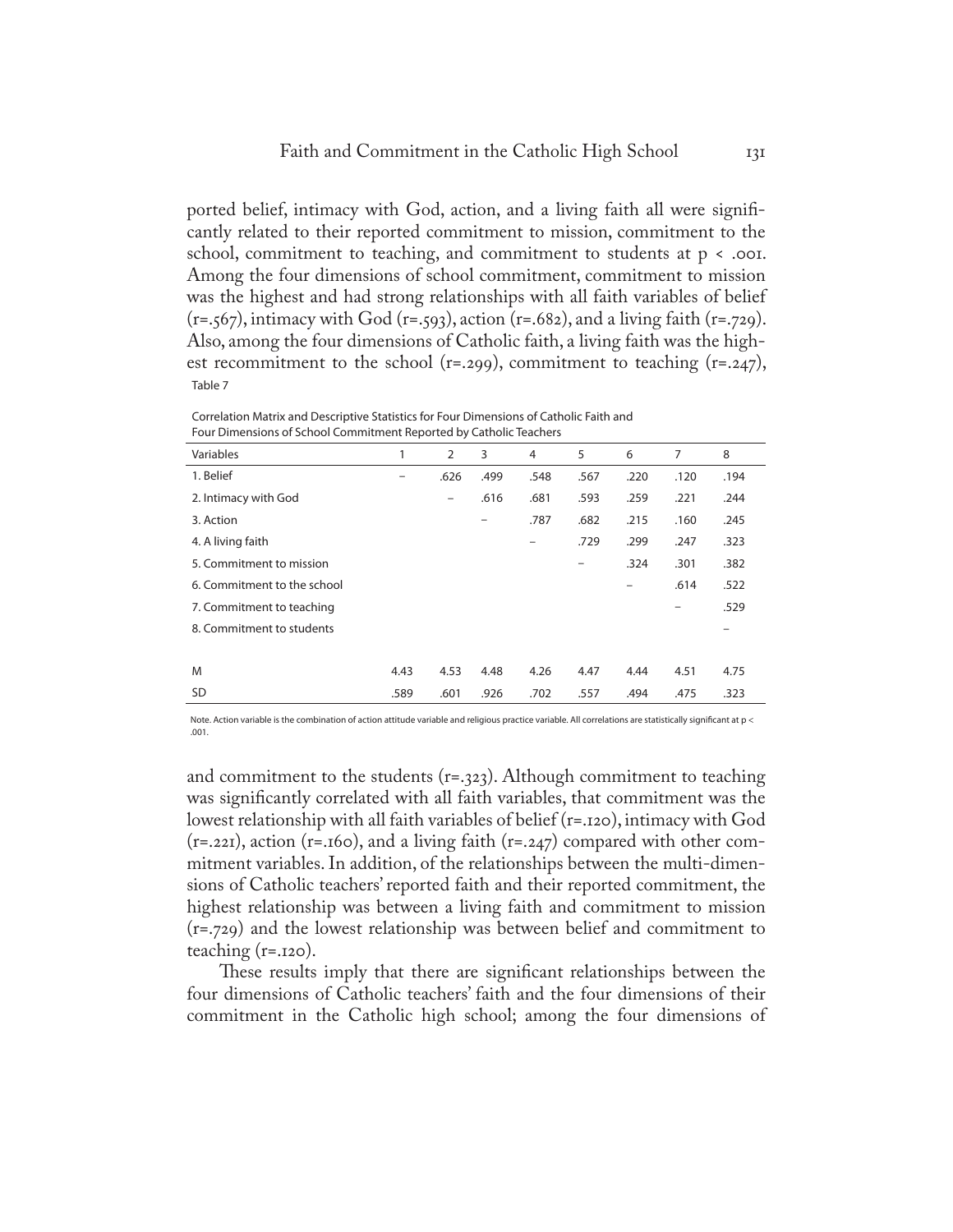ported belief, intimacy with God, action, and a living faith all were significantly related to their reported commitment to mission, commitment to the school, commitment to teaching, and commitment to students at p < .001. Among the four dimensions of school commitment, commitment to mission was the highest and had strong relationships with all faith variables of belief  $(r=.567)$ , intimacy with God (r=.593), action (r=.682), and a living faith (r=.729). Also, among the four dimensions of Catholic faith, a living faith was the highest recommitment to the school ( $r = .299$ ), commitment to teaching ( $r = .247$ ), Table 7

| Tour Dimensions or School Commitment Reported by Catholic Teachers |      |      |                 |      |      |      |      |      |
|--------------------------------------------------------------------|------|------|-----------------|------|------|------|------|------|
| Variables                                                          |      | 2    | 3               | 4    | 5    | 6    | 7    | 8    |
| 1. Belief                                                          |      | .626 | .499            | .548 | .567 | .220 | .120 | .194 |
| 2. Intimacy with God                                               |      | -    | .616            | .681 | .593 | .259 | .221 | .244 |
| 3. Action                                                          |      |      | $\qquad \qquad$ | .787 | .682 | .215 | .160 | .245 |
| 4. A living faith                                                  |      |      |                 |      | .729 | .299 | .247 | .323 |
| 5. Commitment to mission                                           |      |      |                 |      | -    | .324 | .301 | .382 |
| 6. Commitment to the school                                        |      |      |                 |      |      | -    | .614 | .522 |
| 7. Commitment to teaching                                          |      |      |                 |      |      |      | -    | .529 |
| 8. Commitment to students                                          |      |      |                 |      |      |      |      |      |
|                                                                    |      |      |                 |      |      |      |      |      |
| M                                                                  | 4.43 | 4.53 | 4.48            | 4.26 | 4.47 | 4.44 | 4.51 | 4.75 |
| <b>SD</b>                                                          | .589 | .601 | .926            | .702 | .557 | .494 | .475 | .323 |

Correlation Matrix and Descriptive Statistics for Four Dimensions of Catholic Faith and Four Dimensions of School Commitment Reported by Catholic Teachers

Note. Action variable is the combination of action attitude variable and religious practice variable. All correlations are statistically significant at p < .001.

and commitment to the students (r=.323). Although commitment to teaching was significantly correlated with all faith variables, that commitment was the lowest relationship with all faith variables of belief (r=.120), intimacy with God  $(r=.221)$ , action  $(r=.160)$ , and a living faith  $(r=.247)$  compared with other commitment variables. In addition, of the relationships between the multi-dimensions of Catholic teachers' reported faith and their reported commitment, the highest relationship was between a living faith and commitment to mission (r=.729) and the lowest relationship was between belief and commitment to teaching  $(r=.120)$ .

These results imply that there are significant relationships between the four dimensions of Catholic teachers' faith and the four dimensions of their commitment in the Catholic high school; among the four dimensions of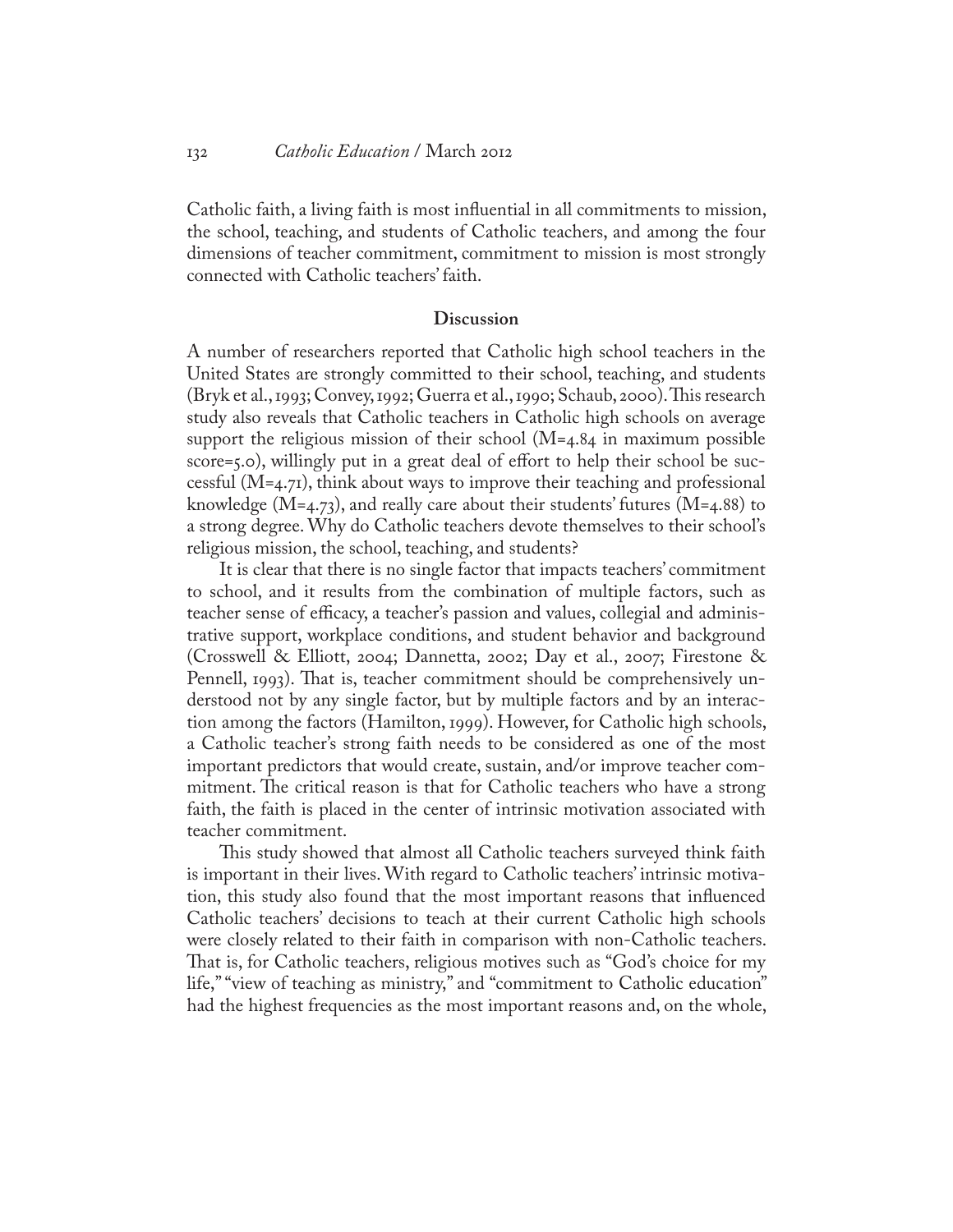Catholic faith, a living faith is most influential in all commitments to mission, the school, teaching, and students of Catholic teachers, and among the four dimensions of teacher commitment, commitment to mission is most strongly connected with Catholic teachers' faith.

#### **Discussion**

A number of researchers reported that Catholic high school teachers in the United States are strongly committed to their school, teaching, and students (Bryk et al., 1993; Convey, 1992; Guerra et al., 1990; Schaub, 2000). This research study also reveals that Catholic teachers in Catholic high schools on average support the religious mission of their school (M=4.84 in maximum possible score=5.0), willingly put in a great deal of effort to help their school be successful (M=4.71), think about ways to improve their teaching and professional knowledge ( $M=4.73$ ), and really care about their students' futures ( $M=4.88$ ) to a strong degree. Why do Catholic teachers devote themselves to their school's religious mission, the school, teaching, and students?

It is clear that there is no single factor that impacts teachers' commitment to school, and it results from the combination of multiple factors, such as teacher sense of efficacy, a teacher's passion and values, collegial and administrative support, workplace conditions, and student behavior and background (Crosswell & Elliott, 2004; Dannetta, 2002; Day et al., 2007; Firestone & Pennell, 1993). That is, teacher commitment should be comprehensively understood not by any single factor, but by multiple factors and by an interaction among the factors (Hamilton, 1999). However, for Catholic high schools, a Catholic teacher's strong faith needs to be considered as one of the most important predictors that would create, sustain, and/or improve teacher commitment. The critical reason is that for Catholic teachers who have a strong faith, the faith is placed in the center of intrinsic motivation associated with teacher commitment.

This study showed that almost all Catholic teachers surveyed think faith is important in their lives. With regard to Catholic teachers' intrinsic motivation, this study also found that the most important reasons that influenced Catholic teachers' decisions to teach at their current Catholic high schools were closely related to their faith in comparison with non-Catholic teachers. That is, for Catholic teachers, religious motives such as "God's choice for my life," "view of teaching as ministry," and "commitment to Catholic education" had the highest frequencies as the most important reasons and, on the whole,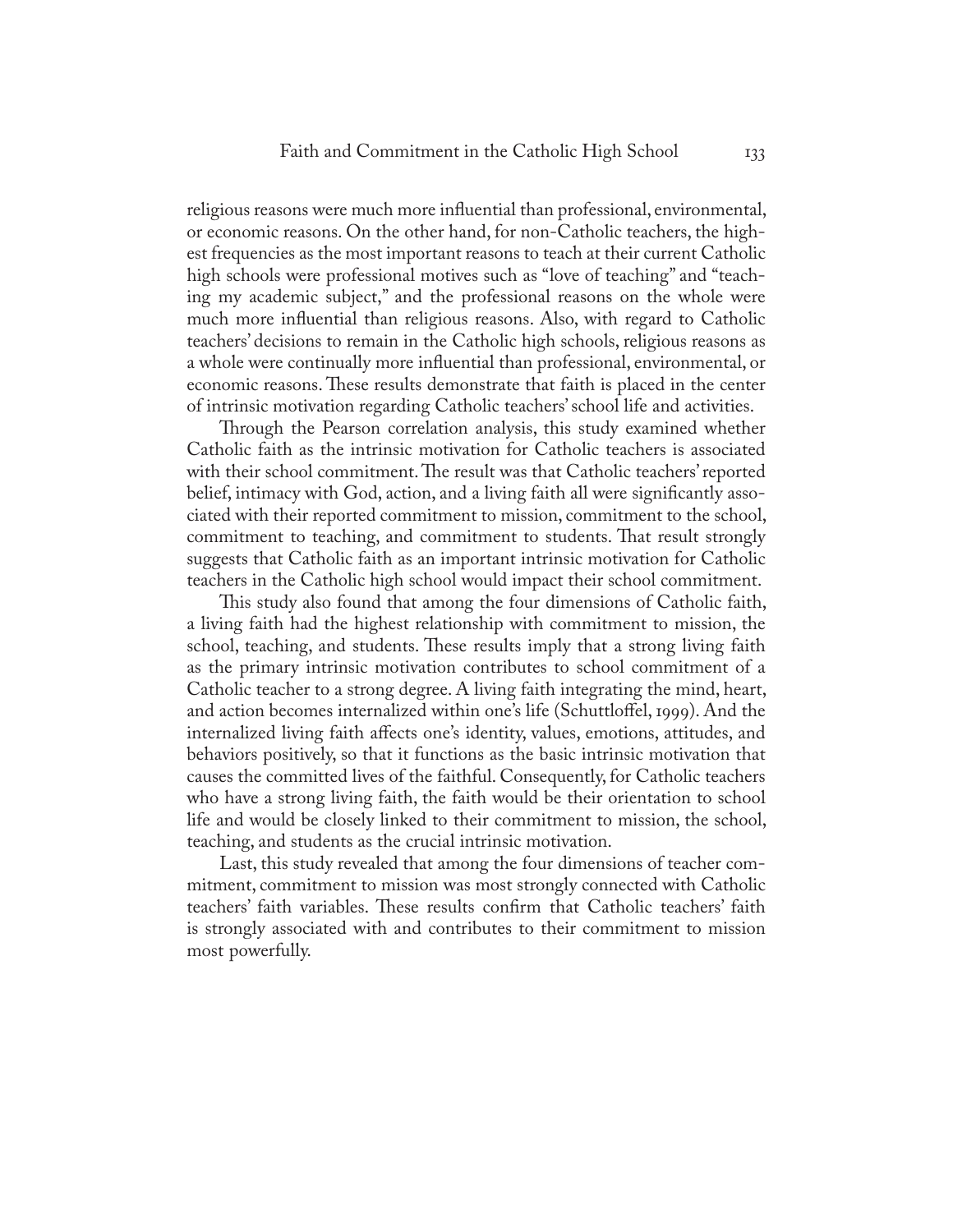religious reasons were much more influential than professional, environmental, or economic reasons. On the other hand, for non-Catholic teachers, the highest frequencies as the most important reasons to teach at their current Catholic high schools were professional motives such as "love of teaching" and "teaching my academic subject," and the professional reasons on the whole were much more influential than religious reasons. Also, with regard to Catholic teachers' decisions to remain in the Catholic high schools, religious reasons as a whole were continually more influential than professional, environmental, or economic reasons. These results demonstrate that faith is placed in the center of intrinsic motivation regarding Catholic teachers' school life and activities.

Through the Pearson correlation analysis, this study examined whether Catholic faith as the intrinsic motivation for Catholic teachers is associated with their school commitment. The result was that Catholic teachers' reported belief, intimacy with God, action, and a living faith all were significantly associated with their reported commitment to mission, commitment to the school, commitment to teaching, and commitment to students. That result strongly suggests that Catholic faith as an important intrinsic motivation for Catholic teachers in the Catholic high school would impact their school commitment.

This study also found that among the four dimensions of Catholic faith, a living faith had the highest relationship with commitment to mission, the school, teaching, and students. These results imply that a strong living faith as the primary intrinsic motivation contributes to school commitment of a Catholic teacher to a strong degree. A living faith integrating the mind, heart, and action becomes internalized within one's life (Schuttloffel, 1999). And the internalized living faith affects one's identity, values, emotions, attitudes, and behaviors positively, so that it functions as the basic intrinsic motivation that causes the committed lives of the faithful. Consequently, for Catholic teachers who have a strong living faith, the faith would be their orientation to school life and would be closely linked to their commitment to mission, the school, teaching, and students as the crucial intrinsic motivation.

Last, this study revealed that among the four dimensions of teacher commitment, commitment to mission was most strongly connected with Catholic teachers' faith variables. These results confirm that Catholic teachers' faith is strongly associated with and contributes to their commitment to mission most powerfully.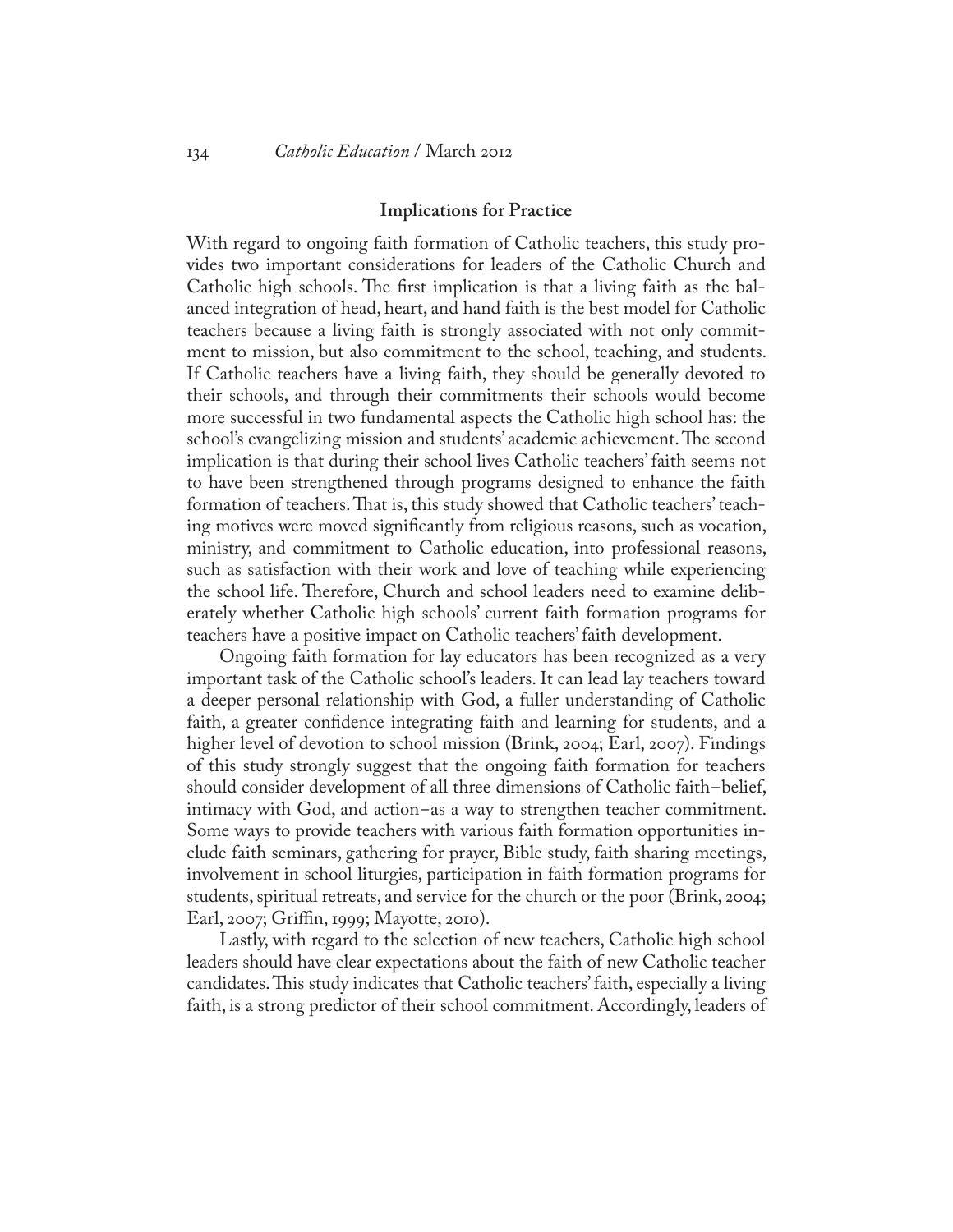#### **Implications for Practice**

With regard to ongoing faith formation of Catholic teachers, this study provides two important considerations for leaders of the Catholic Church and Catholic high schools. The first implication is that a living faith as the balanced integration of head, heart, and hand faith is the best model for Catholic teachers because a living faith is strongly associated with not only commitment to mission, but also commitment to the school, teaching, and students. If Catholic teachers have a living faith, they should be generally devoted to their schools, and through their commitments their schools would become more successful in two fundamental aspects the Catholic high school has: the school's evangelizing mission and students' academic achievement. The second implication is that during their school lives Catholic teachers' faith seems not to have been strengthened through programs designed to enhance the faith formation of teachers. That is, this study showed that Catholic teachers' teaching motives were moved significantly from religious reasons, such as vocation, ministry, and commitment to Catholic education, into professional reasons, such as satisfaction with their work and love of teaching while experiencing the school life. Therefore, Church and school leaders need to examine deliberately whether Catholic high schools' current faith formation programs for teachers have a positive impact on Catholic teachers' faith development.

Ongoing faith formation for lay educators has been recognized as a very important task of the Catholic school's leaders. It can lead lay teachers toward a deeper personal relationship with God, a fuller understanding of Catholic faith, a greater confidence integrating faith and learning for students, and a higher level of devotion to school mission (Brink, 2004; Earl, 2007). Findings of this study strongly suggest that the ongoing faith formation for teachers should consider development of all three dimensions of Catholic faith-belief, intimacy with God, and action-as a way to strengthen teacher commitment. Some ways to provide teachers with various faith formation opportunities include faith seminars, gathering for prayer, Bible study, faith sharing meetings, involvement in school liturgies, participation in faith formation programs for students, spiritual retreats, and service for the church or the poor (Brink, 2004; Earl, 2007; Griffin, 1999; Mayotte, 2010).

Lastly, with regard to the selection of new teachers, Catholic high school leaders should have clear expectations about the faith of new Catholic teacher candidates. This study indicates that Catholic teachers' faith, especially a living faith, is a strong predictor of their school commitment. Accordingly, leaders of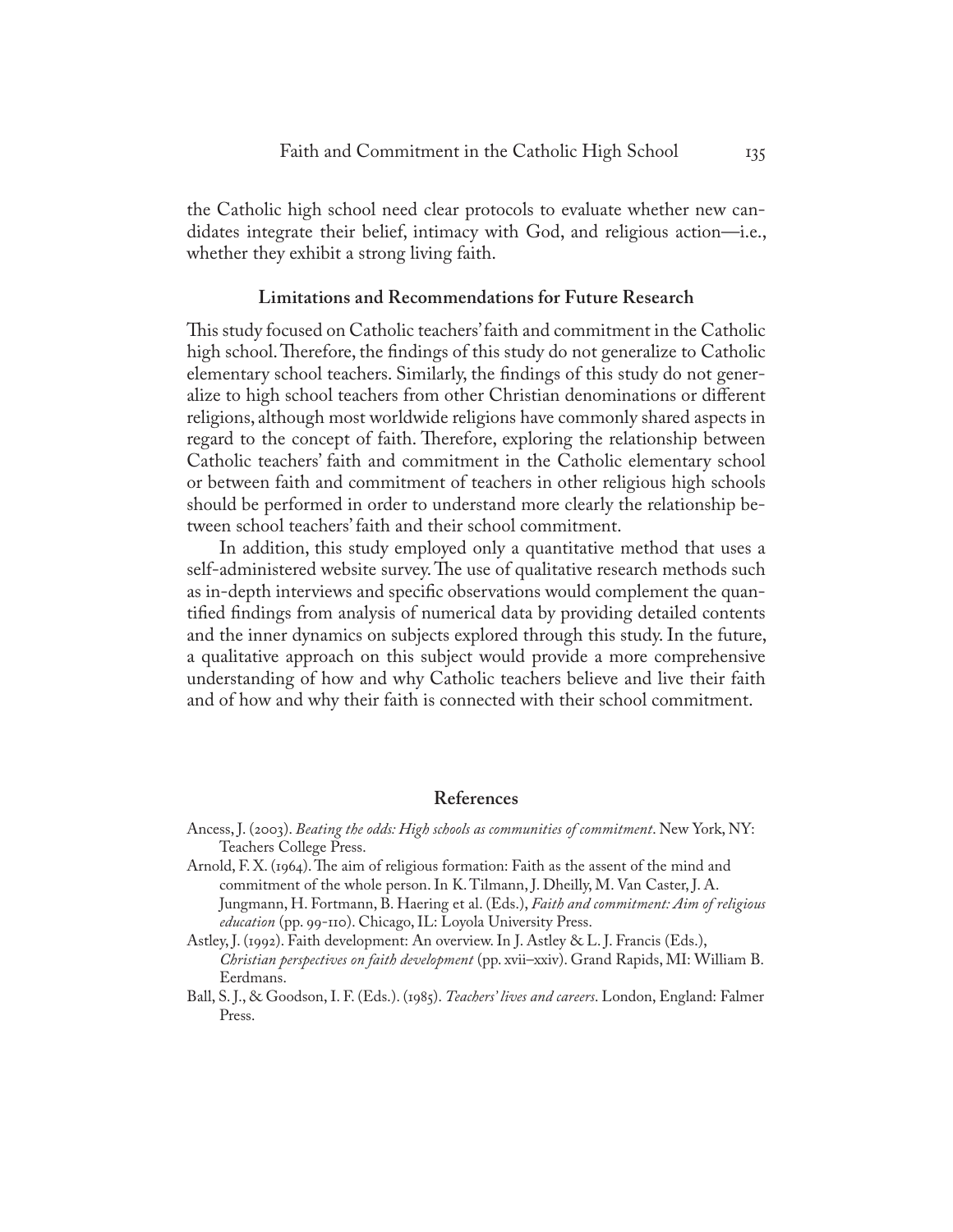the Catholic high school need clear protocols to evaluate whether new candidates integrate their belief, intimacy with God, and religious action—i.e., whether they exhibit a strong living faith.

#### **Limitations and Recommendations for Future Research**

This study focused on Catholic teachers' faith and commitment in the Catholic high school. Therefore, the findings of this study do not generalize to Catholic elementary school teachers. Similarly, the findings of this study do not generalize to high school teachers from other Christian denominations or different religions, although most worldwide religions have commonly shared aspects in regard to the concept of faith. Therefore, exploring the relationship between Catholic teachers' faith and commitment in the Catholic elementary school or between faith and commitment of teachers in other religious high schools should be performed in order to understand more clearly the relationship between school teachers' faith and their school commitment.

In addition, this study employed only a quantitative method that uses a self-administered website survey. The use of qualitative research methods such as in-depth interviews and specific observations would complement the quantified findings from analysis of numerical data by providing detailed contents and the inner dynamics on subjects explored through this study. In the future, a qualitative approach on this subject would provide a more comprehensive understanding of how and why Catholic teachers believe and live their faith and of how and why their faith is connected with their school commitment.

#### **References**

- Ancess, J. (2003). *Beating the odds: High schools as communities of commitment*. New York, NY: Teachers College Press.
- Arnold, F. X. (1964). The aim of religious formation: Faith as the assent of the mind and commitment of the whole person. In K. Tilmann, J. Dheilly, M. Van Caster, J. A. Jungmann, H. Fortmann, B. Haering et al. (Eds.), *Faith and commitment: Aim of religious education* (pp. 99-110). Chicago, IL: Loyola University Press.
- Astley, J. (1992). Faith development: An overview. In J. Astley & L. J. Francis (Eds.), *Christian perspectives on faith development* (pp. xvii–xxiv). Grand Rapids, MI: William B. Eerdmans.
- Ball, S. J., & Goodson, I. F. (Eds.). (1985). *Teachers' lives and careers*. London, England: Falmer Press.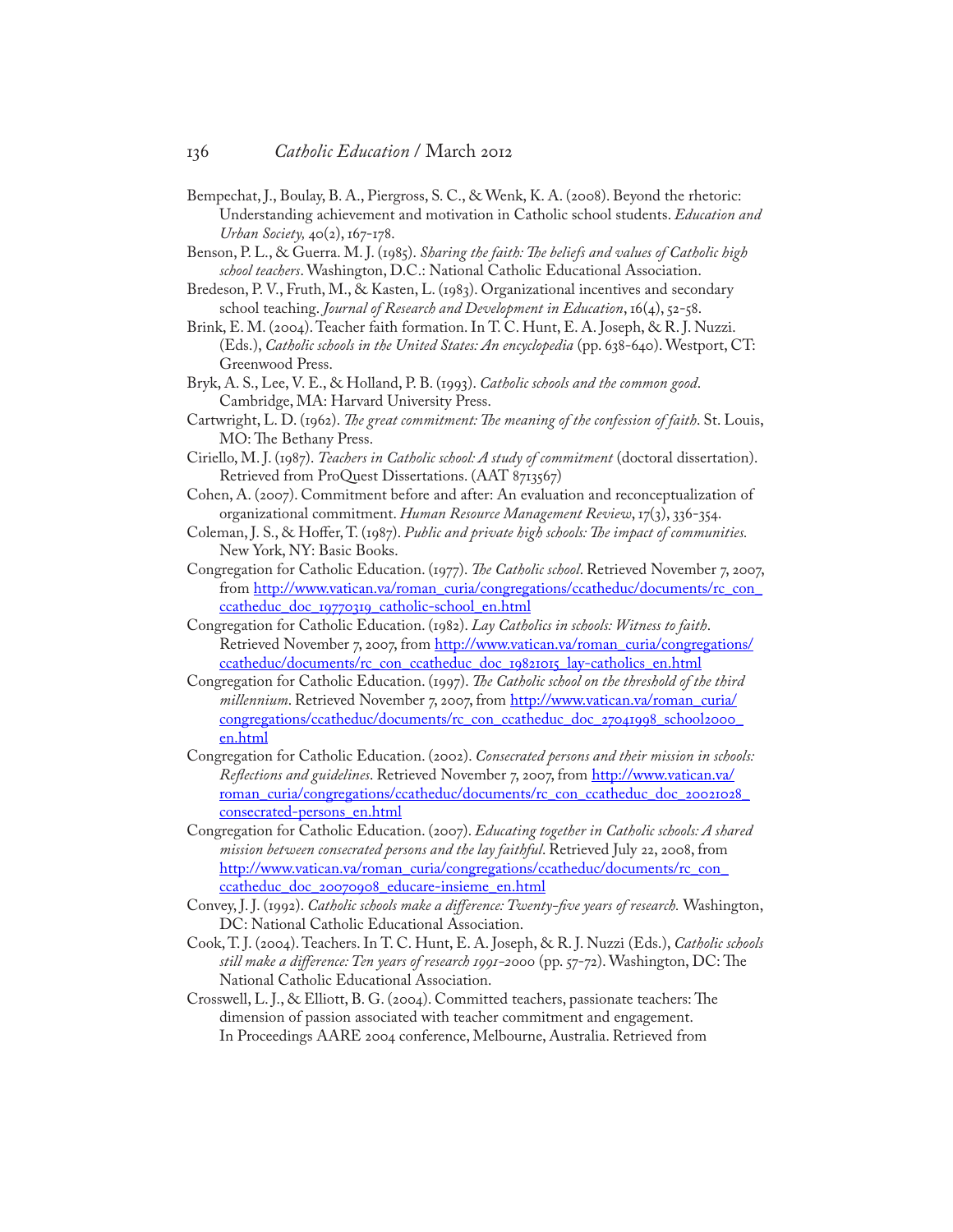- Bempechat, J., Boulay, B. A., Piergross, S. C., & Wenk, K. A. (2008). Beyond the rhetoric: Understanding achievement and motivation in Catholic school students. *Education and Urban Society,* 40(2), 167-178.
- Benson, P. L., & Guerra. M. J. (1985). *Sharing the faith: The beliefs and values of Catholic high school teachers*. Washington, D.C.: National Catholic Educational Association.
- Bredeson, P. V., Fruth, M., & Kasten, L. (1983). Organizational incentives and secondary school teaching. *Journal of Research and Development in Education*, 16(4), 52-58.
- Brink, E. M. (2004). Teacher faith formation. In T. C. Hunt, E. A. Joseph, & R. J. Nuzzi. (Eds.), *Catholic schools in the United States: An encyclopedia* (pp. 638-640). Westport, CT: Greenwood Press.
- Bryk, A. S., Lee, V. E., & Holland, P. B. (1993). *Catholic schools and the common good*. Cambridge, MA: Harvard University Press.
- Cartwright, L. D. (1962). *The great commitment: The meaning of the confession of faith*. St. Louis, MO: The Bethany Press.
- Ciriello, M. J. (1987). *Teachers in Catholic school: A study of commitment* (doctoral dissertation). Retrieved from ProQuest Dissertations. (AAT 8713567)
- Cohen, A. (2007). Commitment before and after: An evaluation and reconceptualization of organizational commitment. *Human Resource Management Review*, 17(3), 336-354.
- Coleman, J. S., & Hoffer, T. (1987). *Public and private high schools: The impact of communities.* New York, NY: Basic Books.
- Congregation for Catholic Education. (1977). *The Catholic school*. Retrieved November 7, 2007, from http://www.vatican.va/roman\_curia/congregations/ccatheduc/documents/rc\_con [ccatheduc\\_doc\\_19770319\\_catholic-school\\_en.html](http://www.vatican.va/roman_curia/congregations/ccatheduc/documents/rc_con_ccatheduc_doc_19770319_catholic-school_en.html)
- Congregation for Catholic Education. (1982). *Lay Catholics in schools: Witness to faith*. Retrieved November 7, 2007, from [http://www.vatican.va/roman\\_curia/congregations/](http://www.vatican.va/roman_curia/congregations/ccatheduc/documents/rc_con_ccatheduc_doc_19821015_lay-catholics_en.html) [ccatheduc/documents/rc\\_con\\_ccatheduc\\_doc\\_19821015\\_lay-catholics\\_en.html](http://www.vatican.va/roman_curia/congregations/ccatheduc/documents/rc_con_ccatheduc_doc_19821015_lay-catholics_en.html)
- Congregation for Catholic Education. (1997). *The Catholic school on the threshold of the third*  millennium. Retrieved November 7, 2007, from [http://www.vatican.va/roman\\_curia/](http://www.vatican.va/roman_curia/congregations/ccatheduc/documents/rc_con_ccatheduc_doc_27041998_school2000_en.html) [congregations/ccatheduc/documents/rc\\_con\\_ccatheduc\\_doc\\_27041998\\_school2000\\_](http://www.vatican.va/roman_curia/congregations/ccatheduc/documents/rc_con_ccatheduc_doc_27041998_school2000_en.html) [en.html](http://www.vatican.va/roman_curia/congregations/ccatheduc/documents/rc_con_ccatheduc_doc_27041998_school2000_en.html)
- Congregation for Catholic Education. (2002). *Consecrated persons and their mission in schools: Reflections and guidelines*. Retrieved November 7, 2007, from [http://www.vatican.va/](http://www.vatican.va/roman_curia/congregations/ccatheduc/documents/rc_con_ccatheduc_doc_20021028_consecrated-persons_en.html) [roman\\_curia/congregations/ccatheduc/documents/rc\\_con\\_ccatheduc\\_doc\\_20021028\\_](http://www.vatican.va/roman_curia/congregations/ccatheduc/documents/rc_con_ccatheduc_doc_20021028_consecrated-persons_en.html) [consecrated-persons\\_en.html](http://www.vatican.va/roman_curia/congregations/ccatheduc/documents/rc_con_ccatheduc_doc_20021028_consecrated-persons_en.html)
- Congregation for Catholic Education. (2007). *Educating together in Catholic schools: A shared mission between consecrated persons and the lay faithful*. Retrieved July 22, 2008, from http://www.vatican.va/roman\_curia/congregations/ccatheduc/documents/rc\_con [ccatheduc\\_doc\\_20070908\\_educare-insieme\\_en.html](http://www.vatican.va/roman_curia/congregations/ccatheduc/documents/rc_con_ccatheduc_doc_20070908_educare-insieme_en.html)
- Convey, J. J. (1992). *Catholic schools make a difference: Twenty-five years of research.* Washington, DC: National Catholic Educational Association.
- Cook, T. J. (2004). Teachers. In T. C. Hunt, E. A. Joseph, & R. J. Nuzzi (Eds.), *Catholic schools still make a difference: Ten years of research 1991-2000* (pp. 57-72). Washington, DC: The National Catholic Educational Association.
- Crosswell, L. J., & Elliott, B. G. (2004). Committed teachers, passionate teachers: The dimension of passion associated with teacher commitment and engagement. In Proceedings AARE 2004 conference, Melbourne, Australia. Retrieved from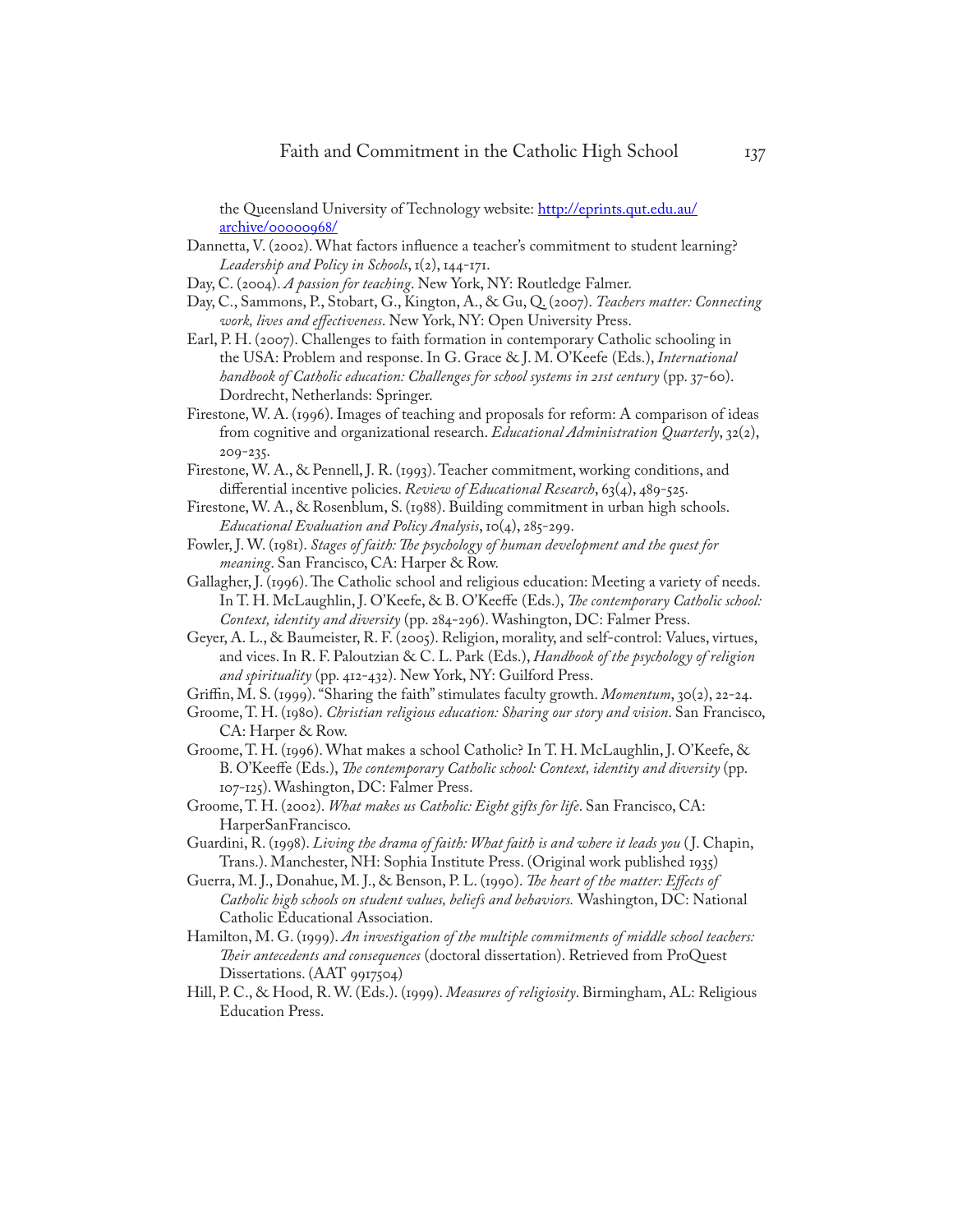the Queensland University of Technology website: [http://eprints.qut.edu.au/](http://eprints.qut.edu.au/archive/00000968/) [archive/00000968/](http://eprints.qut.edu.au/archive/00000968/)

- Dannetta, V. (2002). What factors influence a teacher's commitment to student learning? *Leadership and Policy in Schools*, 1(2), 144-171.
- Day, C. (2004). *A passion for teaching*. New York, NY: Routledge Falmer.
- Day, C., Sammons, P., Stobart, G., Kington, A., & Gu, Q. (2007). *Teachers matter: Connecting work, lives and effectiveness*. New York, NY: Open University Press.
- Earl, P. H. (2007). Challenges to faith formation in contemporary Catholic schooling in the USA: Problem and response. In G. Grace & J. M. O'Keefe (Eds.), *International handbook of Catholic education: Challenges for school systems in 21st century* (pp. 37-60). Dordrecht, Netherlands: Springer.
- Firestone, W. A. (1996). Images of teaching and proposals for reform: A comparison of ideas from cognitive and organizational research. *Educational Administration Quarterly*, 32(2), 209-235.
- Firestone, W. A., & Pennell, J. R. (1993). Teacher commitment, working conditions, and differential incentive policies. *Review of Educational Research*, 63(4), 489-525.
- Firestone, W. A., & Rosenblum, S. (1988). Building commitment in urban high schools. *Educational Evaluation and Policy Analysis*, 10(4), 285-299.
- Fowler, J. W. (1981). *Stages of faith: The psychology of human development and the quest for meaning*. San Francisco, CA: Harper & Row.
- Gallagher, J. (1996). The Catholic school and religious education: Meeting a variety of needs. In T. H. McLaughlin, J. O'Keefe, & B. O'Keeffe (Eds.), *The contemporary Catholic school: Context, identity and diversity* (pp. 284-296). Washington, DC: Falmer Press.
- Geyer, A. L., & Baumeister, R. F. (2005). Religion, morality, and self-control: Values, virtues, and vices. In R. F. Paloutzian & C. L. Park (Eds.), *Handbook of the psychology of religion and spirituality* (pp. 412-432). New York, NY: Guilford Press.
- Griffin, M. S. (1999). "Sharing the faith" stimulates faculty growth. *Momentum*, 30(2), 22-24.
- Groome, T. H. (1980). *Christian religious education: Sharing our story and vision*. San Francisco, CA: Harper & Row.
- Groome, T. H. (1996). What makes a school Catholic? In T. H. McLaughlin, J. O'Keefe, & B. O'Keeffe (Eds.), *The contemporary Catholic school: Context, identity and diversity* (pp. 107-125). Washington, DC: Falmer Press.
- Groome, T. H. (2002). *What makes us Catholic: Eight gifts for life*. San Francisco, CA: HarperSanFrancisco.
- Guardini, R. (1998). *Living the drama of faith: What faith is and where it leads you* ( J. Chapin, Trans.). Manchester, NH: Sophia Institute Press. (Original work published 1935)
- Guerra, M. J., Donahue, M. J., & Benson, P. L. (1990). *The heart of the matter: Effects of Catholic high schools on student values, beliefs and behaviors.* Washington, DC: National Catholic Educational Association.
- Hamilton, M. G. (1999). *An investigation of the multiple commitments of middle school teachers: Their antecedents and consequences* (doctoral dissertation). Retrieved from ProQuest Dissertations. (AAT 9917504)
- Hill, P. C., & Hood, R. W. (Eds.). (1999). *Measures of religiosity*. Birmingham, AL: Religious Education Press.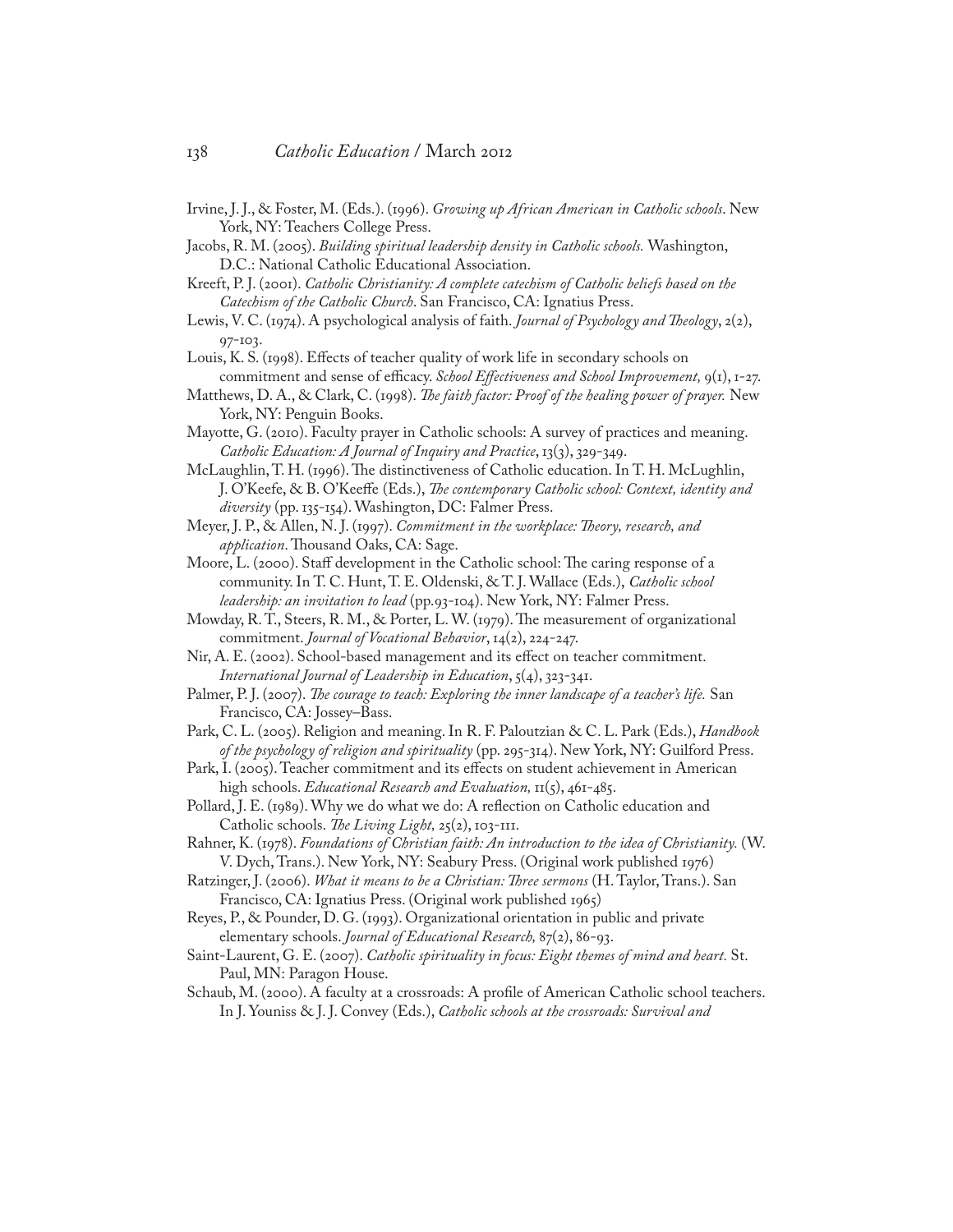Irvine, J. J., & Foster, M. (Eds.). (1996). *Growing up African American in Catholic schools*. New York, NY: Teachers College Press.

Jacobs, R. M. (2005). *Building spiritual leadership density in Catholic schools.* Washington, D.C.: National Catholic Educational Association.

- Kreeft, P. J. (2001). *Catholic Christianity: A complete catechism of Catholic beliefs based on the Catechism of the Catholic Church*. San Francisco, CA: Ignatius Press.
- Lewis, V. C. (1974). A psychological analysis of faith. *Journal of Psychology and Theology*, 2(2), 97-103.
- Louis, K. S. (1998). Effects of teacher quality of work life in secondary schools on commitment and sense of efficacy. *School Effectiveness and School Improvement,* 9(1), 1-27.
- Matthews, D. A., & Clark, C. (1998). *The faith factor: Proof of the healing power of prayer.* New York, NY: Penguin Books.
- Mayotte, G. (2010). Faculty prayer in Catholic schools: A survey of practices and meaning. *Catholic Education: A Journal of Inquiry and Practice*, 13(3), 329-349.
- McLaughlin, T. H. (1996). The distinctiveness of Catholic education. In T. H. McLughlin, J. O'Keefe, & B. O'Keeffe (Eds.), *The contemporary Catholic school: Context, identity and diversity* (pp. 135-154). Washington, DC: Falmer Press.
- Meyer, J. P., & Allen, N. J. (1997). *Commitment in the workplace: Theory, research, and application*. Thousand Oaks, CA: Sage.
- Moore, L. (2000). Staff development in the Catholic school: The caring response of a community. In T. C. Hunt, T. E. Oldenski, & T. J. Wallace (Eds.), *Catholic school leadership: an invitation to lead* (pp.93-104). New York, NY: Falmer Press.
- Mowday, R. T., Steers, R. M., & Porter, L. W. (1979). The measurement of organizational commitment. *Journal of Vocational Behavior*, 14(2), 224-247.
- Nir, A. E. (2002). School-based management and its effect on teacher commitment. *International Journal of Leadership in Education*, 5(4), 323-341.
- Palmer, P. J. (2007). *The courage to teach: Exploring the inner landscape of a teacher's life.* San Francisco, CA: Jossey–Bass.
- Park, C. L. (2005). Religion and meaning. In R. F. Paloutzian & C. L. Park (Eds.), *Handbook of the psychology of religion and spirituality* (pp. 295-314). New York, NY: Guilford Press.
- Park, I. (2005). Teacher commitment and its effects on student achievement in American high schools. *Educational Research and Evaluation*,  $\text{II}(5)$ , 461-485.
- Pollard, J. E. (1989). Why we do what we do: A reflection on Catholic education and Catholic schools. *The Living Light,* 25(2), 103-111.
- Rahner, K. (1978). *Foundations of Christian faith: An introduction to the idea of Christianity.* (W. V. Dych, Trans.). New York, NY: Seabury Press. (Original work published 1976)
- Ratzinger, J. (2006). *What it means to be a Christian: Three sermons* (H. Taylor, Trans.). San Francisco, CA: Ignatius Press. (Original work published 1965)
- Reyes, P., & Pounder, D. G. (1993). Organizational orientation in public and private elementary schools. *Journal of Educational Research,* 87(2), 86-93.
- Saint-Laurent, G. E. (2007). *Catholic spirituality in focus: Eight themes of mind and heart.* St. Paul, MN: Paragon House.
- Schaub, M. (2000). A faculty at a crossroads: A profile of American Catholic school teachers. In J. Youniss & J. J. Convey (Eds.), *Catholic schools at the crossroads: Survival and*